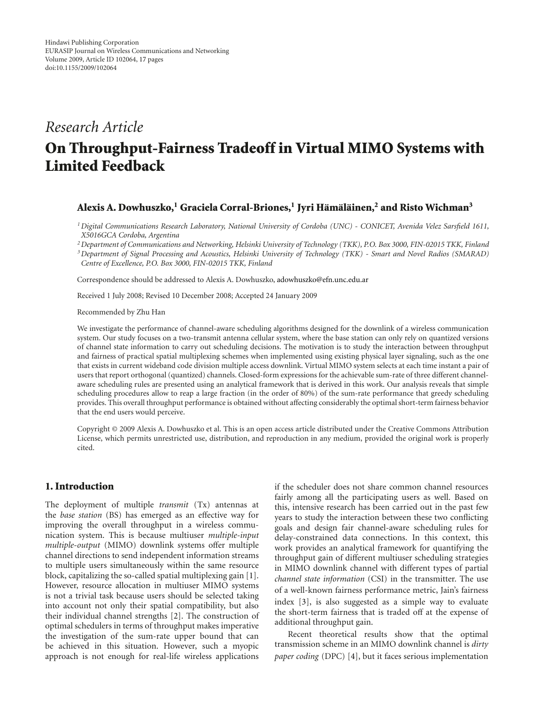## *Research Article*

# **On Throughput-Fairness Tradeoff in Virtual MIMO Systems with Limited Feedback**

## **Alexis A. Dowhuszko,1 Graciela Corral-Briones,1 Jyri Ham¨ al ¨ ainen, ¨ <sup>2</sup> and Risto Wichman3**

*1Digital Communications Research Laboratory, National University of Cordoba (UNC) - CONICET, Avenida Velez Sarsfield 1611, X5016GCA Cordoba, Argentina*

*2Department of Communications and Networking, Helsinki University of Technology (TKK), P.O. Box 3000, FIN-02015 TKK, Finland*

*3Department of Signal Processing and Acoustics, Helsinki University of Technology (TKK) - Smart and Novel Radios (SMARAD) Centre of Excellence, P.O. Box 3000, FIN-02015 TKK, Finland*

Correspondence should be addressed to Alexis A. Dowhuszko, adowhuszko@efn.unc.edu.ar

Received 1 July 2008; Revised 10 December 2008; Accepted 24 January 2009

Recommended by Zhu Han

We investigate the performance of channel-aware scheduling algorithms designed for the downlink of a wireless communication system. Our study focuses on a two-transmit antenna cellular system, where the base station can only rely on quantized versions of channel state information to carry out scheduling decisions. The motivation is to study the interaction between throughput and fairness of practical spatial multiplexing schemes when implemented using existing physical layer signaling, such as the one that exists in current wideband code division multiple access downlink. Virtual MIMO system selects at each time instant a pair of users that report orthogonal (quantized) channels. Closed-form expressions for the achievable sum-rate of three different channelaware scheduling rules are presented using an analytical framework that is derived in this work. Our analysis reveals that simple scheduling procedures allow to reap a large fraction (in the order of 80%) of the sum-rate performance that greedy scheduling provides. This overall throughput performance is obtained without affecting considerably the optimal short-term fairness behavior that the end users would perceive.

Copyright © 2009 Alexis A. Dowhuszko et al. This is an open access article distributed under the Creative Commons Attribution License, which permits unrestricted use, distribution, and reproduction in any medium, provided the original work is properly cited.

## **1. Introduction**

The deployment of multiple *transmit* (Tx) antennas at the *base station* (BS) has emerged as an effective way for improving the overall throughput in a wireless communication system. This is because multiuser *multiple-input multiple-output* (MIMO) downlink systems offer multiple channel directions to send independent information streams to multiple users simultaneously within the same resource block, capitalizing the so-called spatial multiplexing gain [1]. However, resource allocation in multiuser MIMO systems is not a trivial task because users should be selected taking into account not only their spatial compatibility, but also their individual channel strengths [2]. The construction of optimal schedulers in terms of throughput makes imperative the investigation of the sum-rate upper bound that can be achieved in this situation. However, such a myopic approach is not enough for real-life wireless applications

if the scheduler does not share common channel resources fairly among all the participating users as well. Based on this, intensive research has been carried out in the past few years to study the interaction between these two conflicting goals and design fair channel-aware scheduling rules for delay-constrained data connections. In this context, this work provides an analytical framework for quantifying the throughput gain of different multiuser scheduling strategies in MIMO downlink channel with different types of partial *channel state information* (CSI) in the transmitter. The use of a well-known fairness performance metric, Jain's fairness index [3], is also suggested as a simple way to evaluate the short-term fairness that is traded off at the expense of additional throughput gain.

Recent theoretical results show that the optimal transmission scheme in an MIMO downlink channel is *dirty paper coding* (DPC) [4], but it faces serious implementation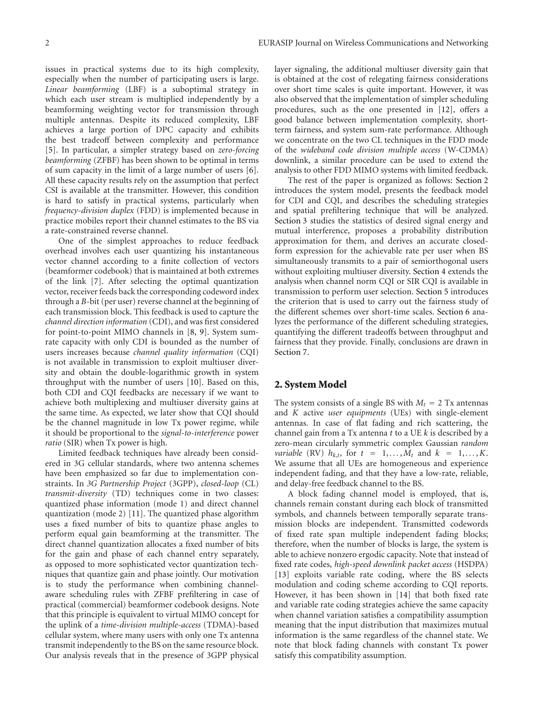issues in practical systems due to its high complexity, especially when the number of participating users is large. *Linear beamforming* (LBF) is a suboptimal strategy in which each user stream is multiplied independently by a beamforming weighting vector for transmission through multiple antennas. Despite its reduced complexity, LBF achieves a large portion of DPC capacity and exhibits the best tradeoff between complexity and performance [5]. In particular, a simpler strategy based on *zero-forcing beamforming* (ZFBF) has been shown to be optimal in terms of sum capacity in the limit of a large number of users [6]. All these capacity results rely on the assumption that perfect CSI is available at the transmitter. However, this condition is hard to satisfy in practical systems, particularly when *frequency-division duplex* (FDD) is implemented because in practice mobiles report their channel estimates to the BS via a rate-constrained reverse channel.

One of the simplest approaches to reduce feedback overhead involves each user quantizing his instantaneous vector channel according to a finite collection of vectors (beamformer codebook) that is maintained at both extremes of the link [7]. After selecting the optimal quantization vector, receiver feeds back the corresponding codeword index through a *B*-bit (per user) reverse channel at the beginning of each transmission block. This feedback is used to capture the *channel direction information* (CDI), and was first considered for point-to-point MIMO channels in [8, 9]. System sumrate capacity with only CDI is bounded as the number of users increases because *channel quality information* (CQI) is not available in transmission to exploit multiuser diversity and obtain the double-logarithmic growth in system throughput with the number of users [10]. Based on this, both CDI and CQI feedbacks are necessary if we want to achieve both multiplexing and multiuser diversity gains at the same time. As expected, we later show that CQI should be the channel magnitude in low Tx power regime, while it should be proportional to the *signal-to-interference* power *ratio* (SIR) when Tx power is high.

Limited feedback techniques have already been considered in 3G cellular standards, where two antenna schemes have been emphasized so far due to implementation constraints. In *3G Partnership Project* (3GPP), *closed-loop* (CL) *transmit-diversity* (TD) techniques come in two classes: quantized phase information (mode 1) and direct channel quantization (mode 2) [11]. The quantized phase algorithm uses a fixed number of bits to quantize phase angles to perform equal gain beamforming at the transmitter. The direct channel quantization allocates a fixed number of bits for the gain and phase of each channel entry separately, as opposed to more sophisticated vector quantization techniques that quantize gain and phase jointly. Our motivation is to study the performance when combining channelaware scheduling rules with ZFBF prefiltering in case of practical (commercial) beamformer codebook designs. Note that this principle is equivalent to virtual MIMO concept for the uplink of a *time-division multiple-access* (TDMA)-based cellular system, where many users with only one Tx antenna transmit independently to the BS on the same resource block. Our analysis reveals that in the presence of 3GPP physical

layer signaling, the additional multiuser diversity gain that is obtained at the cost of relegating fairness considerations over short time scales is quite important. However, it was also observed that the implementation of simpler scheduling procedures, such as the one presented in [12], offers a good balance between implementation complexity, shortterm fairness, and system sum-rate performance. Although we concentrate on the two CL techniques in the FDD mode of the *wideband code division multiple access* (W-CDMA) downlink, a similar procedure can be used to extend the analysis to other FDD MIMO systems with limited feedback.

The rest of the paper is organized as follows: Section 2 introduces the system model, presents the feedback model for CDI and CQI, and describes the scheduling strategies and spatial prefiltering technique that will be analyzed. Section 3 studies the statistics of desired signal energy and mutual interference, proposes a probability distribution approximation for them, and derives an accurate closedform expression for the achievable rate per user when BS simultaneously transmits to a pair of semiorthogonal users without exploiting multiuser diversity. Section 4 extends the analysis when channel norm CQI or SIR CQI is available in transmission to perform user selection. Section 5 introduces the criterion that is used to carry out the fairness study of the different schemes over short-time scales. Section 6 analyzes the performance of the different scheduling strategies, quantifying the different tradeoffs between throughput and fairness that they provide. Finally, conclusions are drawn in Section 7.

#### **2. System Model**

The system consists of a single BS with  $M_t = 2$  Tx antennas and *K* active *user equipments* (UEs) with single-element antennas. In case of flat fading and rich scattering, the channel gain from a Tx antenna *t* to a UE *k* is described by a zero-mean circularly symmetric complex Gaussian *random variable* (RV)  $h_{k,t}$ , for  $t = 1,..., M_t$  and  $k = 1,..., K$ . We assume that all UEs are homogeneous and experience independent fading, and that they have a low-rate, reliable, and delay-free feedback channel to the BS.

A block fading channel model is employed, that is, channels remain constant during each block of transmitted symbols, and channels between temporally separate transmission blocks are independent. Transmitted codewords of fixed rate span multiple independent fading blocks; therefore, when the number of blocks is large, the system is able to achieve nonzero ergodic capacity. Note that instead of fixed rate codes, *high-speed downlink packet access* (HSDPA) [13] exploits variable rate coding, where the BS selects modulation and coding scheme according to CQI reports. However, it has been shown in [14] that both fixed rate and variable rate coding strategies achieve the same capacity when channel variation satisfies a compatibility assumption meaning that the input distribution that maximizes mutual information is the same regardless of the channel state. We note that block fading channels with constant Tx power satisfy this compatibility assumption.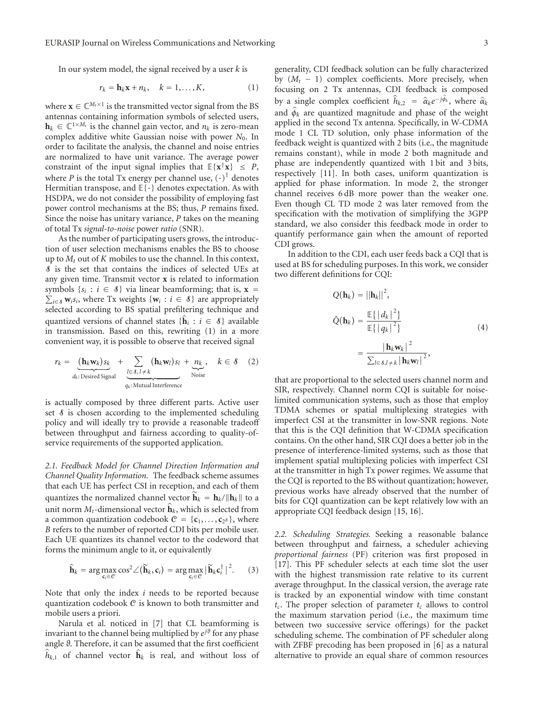In our system model, the signal received by a user *k* is

$$
r_k = \mathbf{h}_k \mathbf{x} + n_k, \quad k = 1, \dots, K,
$$
 (1)

where  $\mathbf{x} \in \mathbb{C}^{M_t \times 1}$  is the transmitted vector signal from the BS antennas containing information symbols of selected users,  $\mathbf{h}_k \in \mathbb{C}^{1 \times M_t}$  is the channel gain vector, and  $n_k$  is zero-mean complex additive white Gaussian noise with power *N*0. In order to facilitate the analysis, the channel and noise entries are normalized to have unit variance. The average power constraint of the input signal implies that  $E\{x^\dagger x\} \leq P$ , where *P* is the total Tx energy per channel use,  $(\cdot)^T$  denotes Hermitian transpose, and  $E\{\cdot\}$  denotes expectation. As with HSDPA, we do not consider the possibility of employing fast power control mechanisms at the BS; thus, *P* remains fixed. Since the noise has unitary variance, *P* takes on the meaning of total Tx *signal-to-noise* power *ratio* (SNR).

As the number of participating users grows, the introduction of user selection mechanisms enables the BS to choose up to  $M_t$  out of  $K$  mobiles to use the channel. In this context, S is the set that contains the indices of selected UEs at any given time. Transmit vector **x** is related to information symbols  $\{s_i : i \in \mathcal{S}\}\)$  via linear beamforming; that is,  $\mathbf{x} =$  $\sum_{i \in \mathcal{S}} \mathbf{w}_i s_i$ , where Tx weights { $\mathbf{w}_i : i \in \mathcal{S}$ } are appropriately selected according to BS spatial prefiltering technique and quantized versions of channel states  $\{\mathbf{h}_i : i \in \mathcal{S}\}\$  available in transmission. Based on this, rewriting (1) in a more convenient way, it is possible to observe that received signal

$$
r_k = \underbrace{(\mathbf{h}_k \mathbf{w}_k) s_k}_{d_k:\text{Desired Signal}} + \underbrace{\sum_{l \in \mathcal{S}, l \neq k} (\mathbf{h}_k \mathbf{w}_l) s_l}_{q_k:\text{Mutual Interference}} + \underbrace{n_k}_{\text{Noise}}, \quad k \in \mathcal{S} \quad (2)
$$

is actually composed by three different parts. Active user set  $\delta$  is chosen according to the implemented scheduling policy and will ideally try to provide a reasonable tradeoff between throughput and fairness according to quality-ofservice requirements of the supported application.

*2.1. Feedback Model for Channel Direction Information and Channel Quality Information.* The feedback scheme assumes that each UE has perfect CSI in reception, and each of them quantizes the normalized channel vector  $\mathbf{h}_k = \mathbf{h}_k / ||\mathbf{h}_k||$  to a unit norm  $M_t$ -dimensional vector  $\hat{\mathbf{h}}_k$ , which is selected from a common quantization codebook  $C = \{c_1, \ldots, c_{2^B}\}\$ , where *B* refers to the number of reported CDI bits per mobile user. Each UE quantizes its channel vector to the codeword that forms the minimum angle to it, or equivalently

$$
\widehat{\mathbf{h}}_k = \arg \max_{\mathbf{c}_i \in \mathcal{C}} \cos^2 \angle (\widetilde{\mathbf{h}}_k, \mathbf{c}_i) = \arg \max_{\mathbf{c}_i \in \mathcal{C}} |\widetilde{\mathbf{h}}_k \mathbf{c}_i^{\dagger}|^2. \qquad (3)
$$

Note that only the index *i* needs to be reported because quantization codebook C is known to both transmitter and mobile users a priori.

Narula et al. noticed in [7] that CL beamforming is invariant to the channel being multiplied by  $e^{i\theta}$  for any phase angle *ϑ*. Therefore, it can be assumed that the first coefficient  $h_{k,1}$  of channel vector  $h_k$  is real, and without loss of

generality, CDI feedback solution can be fully characterized by (*Mt* − 1) complex coefficients. More precisely, when focusing on 2 Tx antennas, CDI feedback is composed by a single complex coefficient  $\hat{h}_{k,2} = \hat{\alpha}_k e^{-j\phi_k}$ , where  $\hat{\alpha}_k$ and  $\hat{\phi}_k$  are quantized magnitude and phase of the weight applied in the second Tx antenna. Specifically, in W-CDMA mode 1 CL TD solution, only phase information of the feedback weight is quantized with 2 bits (i.e., the magnitude remains constant), while in mode 2 both magnitude and phase are independently quantized with 1 bit and 3 bits, respectively [11]. In both cases, uniform quantization is applied for phase information. In mode 2, the stronger channel receives 6 dB more power than the weaker one. Even though CL TD mode 2 was later removed from the specification with the motivation of simplifying the 3GPP standard, we also consider this feedback mode in order to quantify performance gain when the amount of reported CDI grows.

In addition to the CDI, each user feeds back a CQI that is used at BS for scheduling purposes. In this work, we consider two different definitions for CQI:

$$
Q(\mathbf{h}_{k}) = ||\mathbf{h}_{k}||^{2},
$$
  
\n
$$
\check{Q}(\mathbf{h}_{k}) = \frac{\mathbb{E}\{ |d_{k}|^{2} \}}{\mathbb{E}\{ |q_{k}|^{2} \}}
$$
  
\n
$$
= \frac{|\mathbf{h}_{k} \mathbf{w}_{k}|^{2}}{\sum_{l \in \mathcal{S}, l \neq k} |\mathbf{h}_{k} \mathbf{w}_{l}|^{2}},
$$
\n(4)

that are proportional to the selected users channel norm and SIR, respectively. Channel norm CQI is suitable for noiselimited communication systems, such as those that employ TDMA schemes or spatial multiplexing strategies with imperfect CSI at the transmitter in low-SNR regions. Note that this is the CQI definition that W-CDMA specification contains. On the other hand, SIR CQI does a better job in the presence of interference-limited systems, such as those that implement spatial multiplexing policies with imperfect CSI at the transmitter in high Tx power regimes. We assume that the CQI is reported to the BS without quantization; however, previous works have already observed that the number of bits for CQI quantization can be kept relatively low with an appropriate CQI feedback design [15, 16].

*2.2. Scheduling Strategies.* Seeking a reasonable balance between throughput and fairness, a scheduler achieving *proportional fairness* (PF) criterion was first proposed in [17]. This PF scheduler selects at each time slot the user with the highest transmission rate relative to its current average throughput. In the classical version, the average rate is tracked by an exponential window with time constant  $t_c$ . The proper selection of parameter  $t_c$  allows to control the maximum starvation period (i.e., the maximum time between two successive service offerings) for the packet scheduling scheme. The combination of PF scheduler along with ZFBF precoding has been proposed in [6] as a natural alternative to provide an equal share of common resources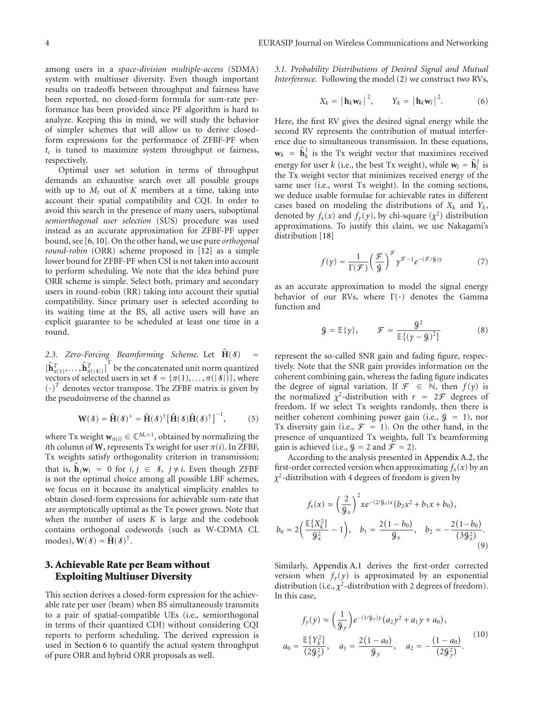among users in a *space-division multiple-access* (SDMA) system with multiuser diversity. Even though important results on tradeoffs between throughput and fairness have been reported, no closed-form formula for sum-rate performance has been provided since PF algorithm is hard to analyze. Keeping this in mind, we will study the behavior of simpler schemes that will allow us to derive closedform expressions for the performance of ZFBF-PF when  $t_c$  is tuned to maximize system throughput or fairness, respectively.

Optimal user set solution in terms of throughput demands an exhaustive search over all possible groups with up to  $M_t$  out of  $K$  members at a time, taking into account their spatial compatibility and CQI. In order to avoid this search in the presence of many users, suboptimal *semiorthogonal user selection* (SUS) procedure was used instead as an accurate approximation for ZFBF-PF upper bound, see [6, 10]. On the other hand, we use pure *orthogonal round-robin* (ORR) scheme proposed in [12] as a simple lower bound for ZFBF-PF when CSI is not taken into account to perform scheduling. We note that the idea behind pure ORR scheme is simple. Select both, primary and secondary users in round-robin (RR) taking into account their spatial compatibility. Since primary user is selected according to its waiting time at the BS, all active users will have an explicit guarantee to be scheduled at least one time in a round.

2.3. Zero-Forcing Beamforming Scheme. Let  $\hat{H}(\delta)$  =  $\left[\hat{\mathbf{h}}_{\pi(1)}^T, \ldots, \hat{\mathbf{h}}_{\pi(|\delta|)}^T\right]^T$  be the concatenated unit norm quantized vectors of selected users in set  $\mathcal{S} = {\pi(1), \dots, \pi(|\mathcal{S}|)}$ , where  $(\cdot)^T$  denotes vector transpose. The ZFBF matrix is given by the pseudoinverse of the channel as

$$
\mathbf{W}(\mathcal{S}) = \hat{\mathbf{H}}(\mathcal{S})^{+} = \hat{\mathbf{H}}(\mathcal{S})^{\dagger} [\hat{\mathbf{H}}(\mathcal{S}) \hat{\mathbf{H}}(\mathcal{S})^{\dagger}]^{-1}, \quad (5)
$$

where Tx weight  $\mathbf{w}_{\pi(i)} \in \mathbb{C}^{M_t \times 1}$ , obtained by normalizing the *i*th column of **W**, represents Tx weight for user  $\pi(i)$ . In ZFBF, Tx weights satisfy orthogonality criterion in transmission; that is,  $\mathbf{h}_j \mathbf{w}_i = 0$  for  $i, j \in \mathcal{S}, j \neq i$ . Even though ZFBF is not the optimal choice among all possible LBF schemes, we focus on it because its analytical simplicity enables to obtain closed-form expressions for achievable sum-rate that are asymptotically optimal as the Tx power grows. Note that when the number of users *K* is large and the codebook contains orthogonal codewords (such as W-CDMA CL  $\text{modes}$ ,  $\mathbf{W}(\mathcal{S}) = \mathbf{H}(\mathcal{S})^{\dagger}$ .

## **3. Achievable Rate per Beam without Exploiting Multiuser Diversity**

This section derives a closed-form expression for the achievable rate per user (beam) when BS simultaneously transmits to a pair of spatial-compatible UEs (i.e., semiorthogonal in terms of their quantized CDI) without considering CQI reports to perform scheduling. The derived expression is used in Section 6 to quantify the actual system throughput of pure ORR and hybrid ORR proposals as well.

*3.1. Probability Distributions of Desired Signal and Mutual Interference.* Following the model (2) we construct two RVs,

$$
X_k = \left| \mathbf{h}_k \mathbf{w}_k \right|^2, \qquad Y_k = \left| \mathbf{h}_k \mathbf{w}_l \right|^2. \tag{6}
$$

Here, the first RV gives the desired signal energy while the second RV represents the contribution of mutual interference due to simultaneous transmission. In these equations,  $\mathbf{w}_k = \mathbf{h}_k^{\dagger}$  is the Tx weight vector that maximizes received energy for user *k* (i.e., the best Tx weight), while  $\mathbf{w}_l = \mathbf{h}_l^{\mathsf{T}}$  is the Tx weight vector that minimizes received energy of the same user (i.e., worst Tx weight). In the coming sections, we deduce usable formulae for achievable rates in different cases based on modeling the distributions of  $X_k$  and  $Y_k$ , denoted by  $f_x(x)$  and  $f_y(y)$ , by chi-square  $(\chi^2)$  distribution approximations. To justify this claim, we use Nakagami's distribution [18]

$$
f(\gamma) = \frac{1}{\Gamma(\mathcal{F})} \left(\frac{\mathcal{F}}{\mathcal{G}}\right)^{\mathcal{F}} \gamma^{\mathcal{F}-1} e^{-(\mathcal{F}/\mathcal{G})\gamma} \tag{7}
$$

as an accurate approximation to model the signal energy behavior of our RVs, where  $\Gamma(\cdot)$  denotes the Gamma function and

$$
\mathcal{G} = \mathbb{E}\{\gamma\}, \qquad \mathcal{F} = \frac{\mathcal{G}^2}{\mathbb{E}\{(\gamma - \mathcal{G})^2\}} \tag{8}
$$

represent the so-called SNR gain and fading figure, respectively. Note that the SNR gain provides information on the coherent combining gain, whereas the fading figure indicates the degree of signal variation. If  $\mathcal{F} \in \mathbb{N}$ , then  $f(\gamma)$  is the normalized  $\chi^2$ -distribution with  $r = 2\mathcal{F}$  degrees of freedom. If we select Tx weights randomly, then there is neither coherent combining power gain (i.e.,  $\mathcal{G} = 1$ ), nor Tx diversity gain (i.e.,  $\mathcal{F} = 1$ ). On the other hand, in the presence of unquantized Tx weights, full Tx beamforming gain is achieved (i.e.,  $\mathcal{G} = 2$  and  $\mathcal{F} = 2$ ).

According to the analysis presented in Appendix A.2, the first-order corrected version when approximating  $f_x(x)$  by an *χ*2-distribution with 4 degrees of freedom is given by

$$
f_x(x) \approx \left(\frac{2}{g_x}\right)^2 x e^{-(2/g_x)x} (b_2 x^2 + b_1 x + b_0),
$$
  

$$
b_0 = 2\left(\frac{\mathbb{E}\{X_k^2\}}{g_x^2} - 1\right), \quad b_1 = \frac{2(1 - b_0)}{g_x}, \quad b_2 = -\frac{2(1 - b_0)}{(3g_x^2)}.
$$
 (9)

Similarly, Appendix A.1 derives the first-order corrected version when  $f_y(y)$  is approximated by an exponential distribution (i.e.,  $\chi^2$ -distribution with 2 degrees of freedom). In this case,

$$
f_y(y) \approx \left(\frac{1}{\theta_y}\right) e^{-(1/\theta_y)y} (a_2 y^2 + a_1 y + a_0),
$$
  

$$
a_0 = \frac{\mathbb{E}\{Y_k^2\}}{(2\theta_y^2)}, \quad a_1 = \frac{2(1 - a_0)}{\theta_y}, \quad a_2 = -\frac{(1 - a_0)}{(2\theta_y^2)}.
$$
 (10)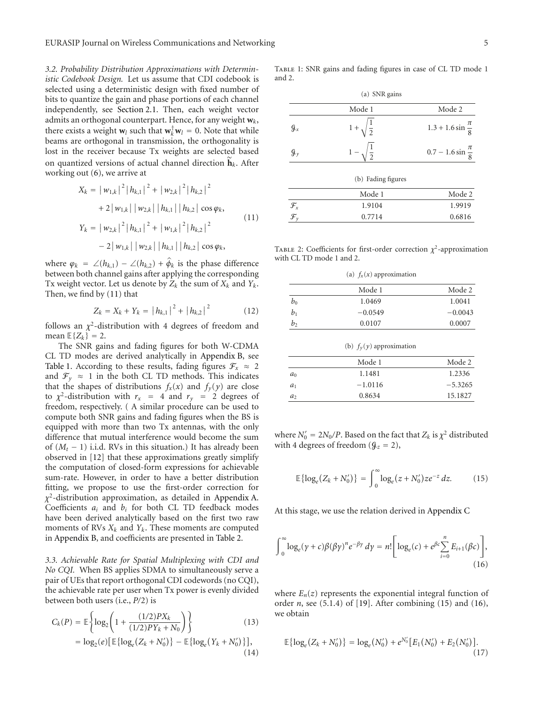*3.2. Probability Distribution Approximations with Deterministic Codebook Design.* Let us assume that CDI codebook is selected using a deterministic design with fixed number of bits to quantize the gain and phase portions of each channel independently, see Section 2.1. Then, each weight vector admits an orthogonal counterpart. Hence, for any weight **w***k*, there exists a weight  $\mathbf{w}_l$  such that  $\mathbf{w}_k^{\dagger} \mathbf{w}_l = 0$ . Note that while beams are orthogonal in transmission, the orthogonality is lost in the receiver because Tx weights are selected based on quantized versions of actual channel direction **h***<sup>k</sup>*. After working out (6), we arrive at

$$
X_{k} = |w_{1,k}|^{2} |h_{k,1}|^{2} + |w_{2,k}|^{2} |h_{k,2}|^{2}
$$
  
+2|w\_{1,k}| |w\_{2,k}| |h\_{k,1}| |h\_{k,2}| \cos \varphi\_{k},  

$$
Y_{k} = |w_{2,k}|^{2} |h_{k,1}|^{2} + |w_{1,k}|^{2} |h_{k,2}|^{2}
$$
  
-2|w\_{1,k}| |w\_{2,k}| |h\_{k,1}| |h\_{k,2}| \cos \varphi\_{k}, (11)

where  $\varphi_k = \angle(h_{k,1}) - \angle(h_{k,2}) + \hat{\varphi}_k$  is the phase difference between both channel gains after applying the corresponding Tx weight vector. Let us denote by  $Z_k$  the sum of  $X_k$  and  $Y_k$ . Then, we find by (11) that

$$
Z_k = X_k + Y_k = |h_{k,1}|^2 + |h_{k,2}|^2 \tag{12}
$$

follows an  $\chi^2$ -distribution with 4 degrees of freedom and mean  $\mathbb{E}\{Z_k\} = 2$ .

The SNR gains and fading figures for both W-CDMA CL TD modes are derived analytically in Appendix B, see Table 1. According to these results, fading figures  $\mathcal{F}_x \approx 2$ and  $\mathcal{F}_y \approx 1$  in the both CL TD methods. This indicates that the shapes of distributions  $f_x(x)$  and  $f_y(y)$  are close to  $\chi^2$ -distribution with  $r_x = 4$  and  $r_y = 2$  degrees of freedom, respectively. ( A similar procedure can be used to compute both SNR gains and fading figures when the BS is equipped with more than two Tx antennas, with the only difference that mutual interference would become the sum of  $(M_t - 1)$  i.i.d. RVs in this situation.) It has already been observed in [12] that these approximations greatly simplify the computation of closed-form expressions for achievable sum-rate. However, in order to have a better distribution fitting, we propose to use the first-order correction for *χ*2-distribution approximation, as detailed in Appendix A. Coefficients *ai* and *bi* for both CL TD feedback modes have been derived analytically based on the first two raw moments of RVs  $X_k$  and  $Y_k$ . These moments are computed in Appendix B, and coefficients are presented in Table 2.

*3.3. Achievable Rate for Spatial Multiplexing with CDI and No CQI.* When BS applies SDMA to simultaneously serve a pair of UEs that report orthogonal CDI codewords (no CQI), the achievable rate per user when Tx power is evenly divided between both users (i.e., *P/*2) is

$$
C_k(P) = \mathbb{E}\left\{\log_2\left(1 + \frac{(1/2)PX_k}{(1/2)PY_k + N_0}\right)\right\}
$$
(13)

$$
= \log_2(e) \left[ \mathbb{E} \{ \log_e (Z_k + N'_0) \} - \mathbb{E} \{ \log_e (Y_k + N'_0) \} \right],
$$
\n(14)

Table 1: SNR gains and fading figures in case of CL TD mode 1 and 2.

| (a) SNR gains                      |                          |                                |  |  |
|------------------------------------|--------------------------|--------------------------------|--|--|
|                                    | Mode 1                   | Mode 2                         |  |  |
| G <sub>x</sub>                     | $1 + \sqrt{\frac{1}{2}}$ | $1.3 + 1.6 \sin \frac{\pi}{8}$ |  |  |
| $\mathcal{G}_y$                    | $\frac{1}{2}$            | $0.7 - 1.6 \sin \frac{\pi}{8}$ |  |  |
|                                    | (b) Fading figures       |                                |  |  |
|                                    | Mode 1                   | Mode 2                         |  |  |
|                                    | 1.9104                   | 1.9919                         |  |  |
| $\mathcal{F}_x$<br>$\mathcal{F}_y$ | 0.7714                   | 0.6816                         |  |  |

TABLE 2: Coefficients for first-order correction  $\chi^2$ -approximation with CL TD mode 1 and 2.

|  | (a) $f_x(x)$ approximation |  |
|--|----------------------------|--|
|  |                            |  |

|       | Mode 1    | Mode 2    |
|-------|-----------|-----------|
| $b_0$ | 1.0469    | 1.0041    |
| b1    | $-0.0549$ | $-0.0043$ |
| $b_2$ | 0.0107    | 0.0007    |

(b) *fy* (*y*) approximation

|                | Mode 1    | Mode 2    |
|----------------|-----------|-----------|
| $a_0$          | 1.1481    | 1.2336    |
| $a_1$          | $-1.0116$ | $-5.3265$ |
| a <sub>2</sub> | 0.8634    | 15.1827   |

where  $N'_0 = 2N_0/P$ . Based on the fact that  $Z_k$  is  $\chi^2$  distributed with 4 degrees of freedom  $(g_z = 2)$ ,

$$
\mathbb{E}\{\log_e(Z_k + N'_0)\} = \int_0^\infty \log_e(z + N'_0) z e^{-z} \, dz. \tag{15}
$$

At this stage, we use the relation derived in Appendix C

$$
\int_0^\infty \log_e(y+c)\beta(\beta\gamma)^n e^{-\beta\gamma} \, d\gamma = n! \bigg[ \log_e(c) + e^{\beta c} \sum_{i=0}^n E_{i+1}(\beta c) \bigg],\tag{16}
$$

where  $E_n(z)$  represents the exponential integral function of order *n*, see (5.1.4) of [19]. After combining (15) and (16), we obtain

$$
\mathbb{E}\left\{\log_e(Z_k+N'_0)\right\}=\log_e(N'_0)+e^{N'_0}\big[E_1(N'_0)+E_2(N'_0)\big].\tag{17}
$$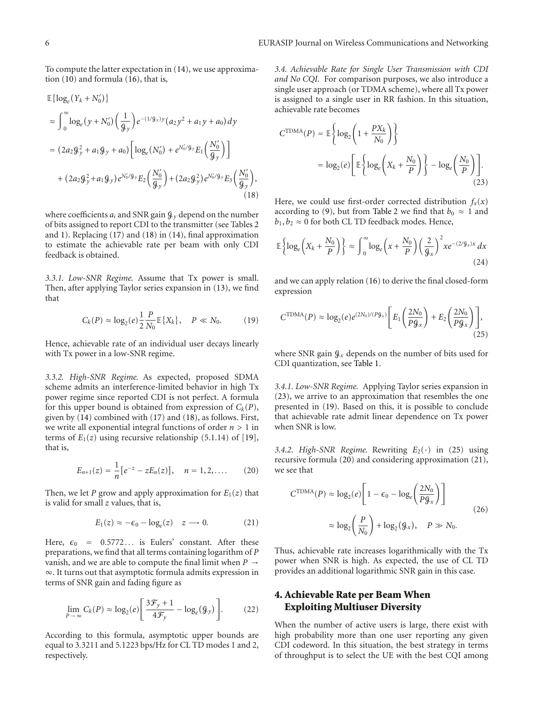To compute the latter expectation in (14), we use approximation (10) and formula (16), that is,

$$
\mathbb{E}\{\log_e(Y_k + N'_0)\}\
$$
\n
$$
\approx \int_0^\infty \log_e(y + N'_0) \left(\frac{1}{g_y}\right) e^{-(1/g_y)y} (a_2 y^2 + a_1 y + a_0) dy
$$
\n
$$
= (2a_2 g_y^2 + a_1 g_y + a_0) \left[ \log_e(N'_0) + e^{N'_0/g_y} E_1\left(\frac{N'_0}{g_y}\right) \right]
$$
\n
$$
+ (2a_2 g_y^2 + a_1 g_y) e^{N'_0/g_y} E_2\left(\frac{N'_0}{g_y}\right) + (2a_2 g_y^2) e^{N'_0/g_y} E_3\left(\frac{N'_0}{g_y}\right),
$$
\n(18)

where coefficients  $a_i$  and SNR gain  $\mathcal{G}_y$  depend on the number of bits assigned to report CDI to the transmitter (see Tables 2 and 1). Replacing (17) and (18) in (14), final approximation to estimate the achievable rate per beam with only CDI feedback is obtained.

*3.3.1. Low-SNR Regime.* Assume that Tx power is small. Then, after applying Taylor series expansion in (13), we find that

$$
C_k(P) \approx \log_2(e) \frac{1}{2} \frac{P}{N_0} \mathbb{E} \{ X_k \}, \quad P \ll N_0. \tag{19}
$$

Hence, achievable rate of an individual user decays linearly with Tx power in a low-SNR regime.

*3.3.2. High-SNR Regime.* As expected, proposed SDMA scheme admits an interference-limited behavior in high Tx power regime since reported CDI is not perfect. A formula for this upper bound is obtained from expression of  $C_k(P)$ , given by (14) combined with (17) and (18), as follows. First, we write all exponential integral functions of order *n >* 1 in terms of  $E_1(z)$  using recursive relationship (5.1.14) of [19], that is,

$$
E_{n+1}(z) = \frac{1}{n} \big[ e^{-z} - z E_n(z) \big], \quad n = 1, 2, .... \tag{20}
$$

Then, we let *P* grow and apply approximation for  $E_1(z)$  that is valid for small *z* values, that is,

$$
E_1(z) \approx -\epsilon_0 - \log_e(z) \quad z \longrightarrow 0. \tag{21}
$$

Here,  $\epsilon_0$  = 0.5772... is Eulers' constant. After these preparations, we find that all terms containing logarithm of *P* vanish, and we are able to compute the final limit when *P* → ∞. It turns out that asymptotic formula admits expression in terms of SNR gain and fading figure as

$$
\lim_{P \to \infty} C_k(P) \approx \log_2(e) \left[ \frac{3\mathcal{F}_y + 1}{4\mathcal{F}_y} - \log_e(\mathcal{G}_y) \right]. \tag{22}
$$

According to this formula, asymptotic upper bounds are equal to 3*.*3211 and 5*.*1223 bps/Hz for CL TD modes 1 and 2, respectively.

*3.4. Achievable Rate for Single User Transmission with CDI and No CQI.* For comparison purposes, we also introduce a single user approach (or TDMA scheme), where all Tx power is assigned to a single user in RR fashion. In this situation, achievable rate becomes

$$
C^{\text{TDMA}}(P) = \mathbb{E}\left\{\log_2\left(1 + \frac{PX_k}{N_0}\right)\right\}
$$

$$
= \log_2(e)\left[\mathbb{E}\left\{\log_e\left(X_k + \frac{N_0}{P}\right)\right\} - \log_e\left(\frac{N_0}{P}\right)\right].
$$
(23)

Here, we could use first-order corrected distribution  $f_x(x)$ according to (9), but from Table 2 we find that  $b_0 \approx 1$  and  $b_1, b_2 \approx 0$  for both CL TD feedback modes. Hence,

$$
\mathbb{E}\left\{\log_e\left(X_k + \frac{N_0}{P}\right)\right\} \approx \int_0^\infty \log_e\left(x + \frac{N_0}{P}\right) \left(\frac{2}{\mathcal{G}_x}\right)^2 x e^{-(2/\mathcal{G}_x)x} dx\tag{24}
$$

and we can apply relation (16) to derive the final closed-form expression

$$
C^{\text{TDMA}}(P) \approx \log_2(e)e^{(2N_0)/(P\theta_x)} \left[ E_1\left(\frac{2N_0}{P\theta_x}\right) + E_2\left(\frac{2N_0}{P\theta_x}\right) \right],\tag{25}
$$

where SNR gain  $\mathcal{G}_x$  depends on the number of bits used for CDI quantization, see Table 1.

*3.4.1. Low-SNR Regime.* Applying Taylor series expansion in (23), we arrive to an approximation that resembles the one presented in (19). Based on this, it is possible to conclude that achievable rate admit linear dependence on Tx power when SNR is low.

*3.4.2. High-SNR Regime.* Rewriting  $E_2(\cdot)$  in (25) using recursive formula (20) and considering approximation (21), we see that

$$
C^{\text{TDMA}}(P) \approx \log_2(e) \left[ 1 - \epsilon_0 - \log_e \left( \frac{2N_0}{P g_x} \right) \right]
$$
  

$$
\approx \log_2 \left( \frac{P}{N_0} \right) + \log_2(g_x), \quad P \gg N_0.
$$
 (26)

Thus, achievable rate increases logarithmically with the Tx power when SNR is high. As expected, the use of CL TD provides an additional logarithmic SNR gain in this case.

## **4. Achievable Rate per Beam When Exploiting Multiuser Diversity**

When the number of active users is large, there exist with high probability more than one user reporting any given CDI codeword. In this situation, the best strategy in terms of throughput is to select the UE with the best CQI among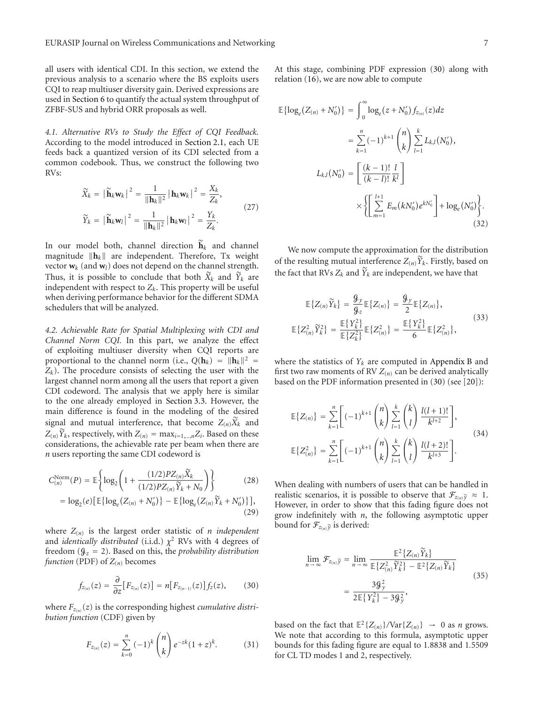all users with identical CDI. In this section, we extend the previous analysis to a scenario where the BS exploits users CQI to reap multiuser diversity gain. Derived expressions are used in Section 6 to quantify the actual system throughput of ZFBF-SUS and hybrid ORR proposals as well.

*4.1. Alternative RVs to Study the Effect of CQI Feedback.* According to the model introduced in Section 2.1, each UE feeds back a quantized version of its CDI selected from a common codebook. Thus, we construct the following two RVs:

$$
\widetilde{X}_k = \left| \widetilde{\mathbf{h}}_k \mathbf{w}_k \right|^2 = \frac{1}{\|\mathbf{h}_k\|^2} \left| \mathbf{h}_k \mathbf{w}_k \right|^2 = \frac{X_k}{Z_k},
$$
\n
$$
\widetilde{Y}_k = \left| \widetilde{\mathbf{h}}_k \mathbf{w}_l \right|^2 = \frac{1}{\|\mathbf{h}_k\|^2} \left| \mathbf{h}_k \mathbf{w}_l \right|^2 = \frac{Y_k}{Z_k}.
$$
\n(27)

In our model both, channel direction  $h_k$  and channel magnitude  $\|\mathbf{h}_k\|$  are independent. Therefore, Tx weight vector  $w_k$  (and  $w_l$ ) does not depend on the channel strength. Thus, it is possible to conclude that both  $\tilde{X}_k$  and  $\tilde{Y}_k$  are independent with respect to  $Z_k$ . This property will be useful when deriving performance behavior for the different SDMA schedulers that will be analyzed.

*4.2. Achievable Rate for Spatial Multiplexing with CDI and Channel Norm CQI.* In this part, we analyze the effect of exploiting multiuser diversity when CQI reports are proportional to the channel norm (i.e.,  $Q(\mathbf{h}_k) = ||\mathbf{h}_k||^2$  $Z_k$ ). The procedure consists of selecting the user with the largest channel norm among all the users that report a given CDI codeword. The analysis that we apply here is similar to the one already employed in Section 3.3. However, the main difference is found in the modeling of the desired signal and mutual interference, that become  $Z_{(n)}\tilde{X}_k$  and  $Z(n)$ *Y*<sup>*k*</sup>, respectively, with  $Z(n) = \max_{i=1,\dots,n} Z_i$ . Based on these considerations, the achievable rate per beam when there are *n* users reporting the same CDI codeword is

$$
C_{(n)}^{\text{Norm}}(P) = \mathbb{E}\left\{\log_2\left(1 + \frac{(1/2)PZ_{(n)}\tilde{X}_k}{(1/2)PZ_{(n)}\tilde{Y}_k + N_0}\right)\right\}
$$
(28)

$$
= \log_2(e) \big[ \mathbb{E} \{ \log_e (Z_{(n)} + N'_0) \} - \mathbb{E} \{ \log_e (Z_{(n)} \widetilde{Y}_k + N'_0) \} \big],
$$
\n(29)

where  $Z(n)$  is the largest order statistic of *n independent* and *identically distributed* (i.i.d.)  $\chi^2$  RVs with 4 degrees of freedom (G*<sup>z</sup>* = 2). Based on this, the *probability distribution function* (PDF) of  $Z_{(n)}$  becomes

$$
f_{z_{(n)}}(z) = \frac{\partial}{\partial z} [F_{z_{(n)}}(z)] = n [F_{z_{(n-1)}}(z)] f_z(z), \quad (30)
$$

where  $F_{z(n)}(z)$  is the corresponding highest *cumulative distribution function* (CDF) given by

$$
F_{z_{(n)}}(z) = \sum_{k=0}^{n} (-1)^k {n \choose k} e^{-zk} (1+z)^k.
$$
 (31)

At this stage, combining PDF expression (30) along with relation (16), we are now able to compute

$$
\mathbb{E}\{\log_e(Z_{(n)} + N'_0)\} = \int_0^\infty \log_e(z + N'_0) f_{z_{(n)}}(z) dz
$$
  

$$
= \sum_{k=1}^n (-1)^{k+1} {n \choose k} \sum_{l=1}^k L_{k,l}(N'_0),
$$
  

$$
L_{k,l}(N'_0) = \left[\frac{(k-1)!}{(k-l)!} \frac{l}{k^l}\right]
$$
  

$$
\times \left\{\left[\sum_{m=1}^{l+1} E_m(kN'_0)e^{kN'_0}\right] + \log_e(N'_0)\right\}.
$$
  
(32)

We now compute the approximation for the distribution of the resulting mutual interference  $Z(n)Y_k$ . Firstly, based on the fact that RVs  $Z_k$  and  $\tilde{Y}_k$  are independent, we have that

$$
\mathbb{E}\left\{Z_{(n)}\widetilde{Y}_k\right\} = \frac{\mathcal{G}_y}{\mathcal{G}_z} \mathbb{E}\left\{Z_{(n)}\right\} = \frac{\mathcal{G}_y}{2} \mathbb{E}\left\{Z_{(n)}\right\},
$$
\n
$$
\mathbb{E}\left\{Z_{(n)}^2\widetilde{Y}_k^2\right\} = \frac{\mathbb{E}\left\{Y_k^2\right\}}{\mathbb{E}\left\{Z_k^2\right\}} \mathbb{E}\left\{Z_{(n)}^2\right\} = \frac{\mathbb{E}\left\{Y_k^2\right\}}{6} \mathbb{E}\left\{Z_{(n)}^2\right\},
$$
\n(33)

where the statistics of  $Y_k$  are computed in Appendix B and first two raw moments of RV  $Z(n)$  can be derived analytically based on the PDF information presented in (30) (see [20]):

$$
\mathbb{E}\left\{Z_{(n)}\right\} = \sum_{k=1}^{n} \left[(-1)^{k+1} {n \choose k} \sum_{l=1}^{k} {k \choose l} \frac{l(l+1)!}{k^{l+2}}\right],
$$
\n
$$
\mathbb{E}\left\{Z_{(n)}^{2}\right\} = \sum_{k=1}^{n} \left[(-1)^{k+1} {n \choose k} \sum_{l=1}^{k} {k \choose l} \frac{l(l+2)!}{k^{l+3}}\right].
$$
\n(34)

When dealing with numbers of users that can be handled in realistic scenarios, it is possible to observe that  $\mathcal{F}_{z(n)}\tilde{y} \approx 1$ . However, in order to show that this fading figure does not grow indefinitely with *n*, the following asymptotic upper bound for  $\mathcal{F}_{z(n)}\tilde{y}$  is derived:

$$
\lim_{n \to \infty} \mathcal{F}_{z_{(n)}\tilde{y}} = \lim_{n \to \infty} \frac{\mathbb{E}^2 \{ Z_{(n)} \tilde{Y}_k \}}{\mathbb{E} \{ Z_{(n)}^2 \tilde{Y}_k^2 \} - \mathbb{E}^2 \{ Z_{(n)} \tilde{Y}_k \}}
$$
\n
$$
= \frac{3 \mathcal{G}_y^2}{2 \mathbb{E} \{ Y_k^2 \} - 3 \mathcal{G}_y^2},
$$
\n(35)

based on the fact that  $\mathbb{E}^2 \{Z(n)\} / \text{Var}\{Z(n)\} \rightarrow 0$  as *n* grows. We note that according to this formula, asymptotic upper bounds for this fading figure are equal to 1*.*8838 and 1*.*5509 for CL TD modes 1 and 2, respectively.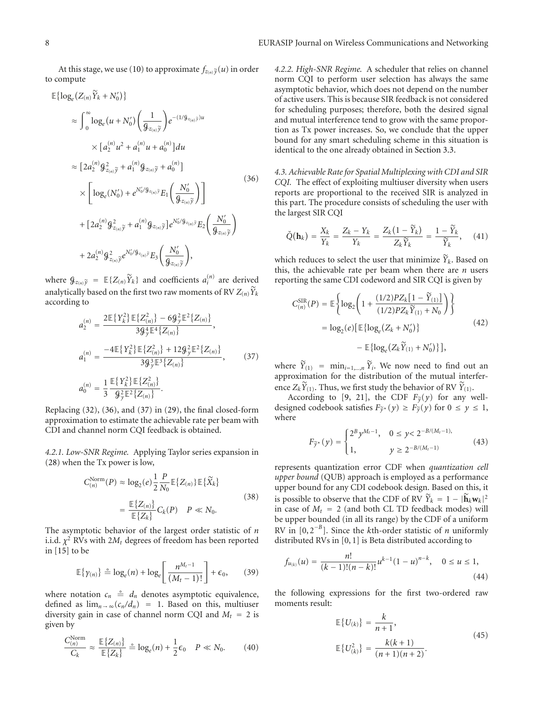At this stage, we use (10) to approximate  $f_{z(n)}\tilde{y}(u)$  in order to compute

$$
\mathbb{E}\{\log_e(Z_{(n)}\tilde{Y}_k + N'_0)\}\n\n\approx \int_0^\infty \log_e(u + N'_0) \left(\frac{1}{\beta_{z_{(n)}}\tilde{y}}\right) e^{-(1/\beta_{z_{(n)}}\tilde{y})u}\n\n\times [a_2^{(n)}u^2 + a_1^{(n)}u + a_0^{(n)}]du\n\n\approx [2a_2^{(n)}\beta_{z_{(n)}}\tilde{y} + a_1^{(n)}\beta_{z_{(n)}}\tilde{y} + a_0^{(n)}]\n\n\times \left[\log_e(N'_0) + e^{N'_0/\beta_{z_{(n)}}\tilde{y}}E_1\left(\frac{N'_0}{\beta_{z_{(n)}}\tilde{y}}\right)\right]\n\n+ [2a_2^{(n)}\beta_{z_{(n)}}\tilde{y} + a_1^{(n)}\beta_{z_{(n)}}\tilde{y}]e^{N'_0/\beta_{z_{(n)}}\tilde{y}}E_2\left(\frac{N'_0}{\beta_{z_{(n)}}\tilde{y}}\right)\n\n+ 2a_2^{(n)}\beta_{z_{(n)}}\tilde{y}e^{N'_0/\beta_{z_{(n)}}\tilde{y}}E_3\left(\frac{N'_0}{\beta_{z_{(n)}}\tilde{y}}\right),
$$
\n(36)

where  $\mathcal{G}_{z_{(n)}}\tilde{y} = \mathbb{E}\{Z_{(n)}\tilde{Y}_k\}$  and coefficients  $a_i^{(n)}$  are derived analytically based on the first two raw moments of RV  $Z(n)$   $\widetilde{Y}_k$ according to

$$
a_2^{(n)} = \frac{2\mathbb{E}\{Y_k^2\}\mathbb{E}\{Z_{(n)}^2\} - 6\mathcal{G}_y^2\mathbb{E}^2\{Z_{(n)}\}}{3\mathcal{G}_y^4\mathbb{E}^4\{Z_{(n)}\}},
$$
  
\n
$$
a_1^{(n)} = \frac{-4\mathbb{E}\{Y_k^2\}\mathbb{E}\{Z_{(n)}^2\} + 12\mathcal{G}_y^2\mathbb{E}^2\{Z_{(n)}\}}{3\mathcal{G}_y^3\mathbb{E}^3\{Z_{(n)}\}},
$$
  
\n
$$
a_0^{(n)} = \frac{1}{3}\frac{\mathbb{E}\{Y_k^2\}\mathbb{E}\{Z_{(n)}^2\}}{3\mathcal{G}_y^2\mathbb{E}^2\{Z_{(n)}\}}.
$$
  
\n(37)

Replacing (32), (36), and (37) in (29), the final closed-form approximation to estimate the achievable rate per beam with CDI and channel norm CQI feedback is obtained.

*4.2.1. Low-SNR Regime.* Applying Taylor series expansion in (28) when the Tx power is low,

$$
C_{(n)}^{\text{Norm}}(P) \approx \log_2(e) \frac{1}{2} \frac{P}{N_0} \mathbb{E} \{Z_{(n)}\} \mathbb{E} \{\widetilde{X}_k\}
$$
\n
$$
= \frac{\mathbb{E} \{Z_{(n)}\}}{\mathbb{E} \{Z_k\}} C_k(P) \quad P \ll N_0. \tag{38}
$$

The asymptotic behavior of the largest order statistic of *n* i.i.d.  $\chi^2$  RVs with  $2M_t$  degrees of freedom has been reported in [15] to be

$$
\mathbb{E}\left\{\gamma_{(n)}\right\} \triangleq \log_e(n) + \log_e\left[\frac{n^{M_t-1}}{(M_t-1)!}\right] + \epsilon_0, \qquad (39)
$$

where notation  $c_n \triangleq d_n$  denotes asymptotic equivalence, defined as  $\lim_{n \to \infty}$  ( $c_n/d_n$ ) = 1. Based on this, multiuser diversity gain in case of channel norm CQI and  $M_t = 2$  is given by

$$
\frac{C_{(n)}^{\text{Norm}}}{C_k} \approx \frac{\mathbb{E}\{Z_{(n)}\}}{\mathbb{E}\{Z_k\}} \stackrel{\circ}{=} \log_e(n) + \frac{1}{2}\epsilon_0 \quad P \ll N_0. \tag{40}
$$

*4.2.2. High-SNR Regime.* A scheduler that relies on channel norm CQI to perform user selection has always the same asymptotic behavior, which does not depend on the number of active users. This is because SIR feedback is not considered for scheduling purposes; therefore, both the desired signal and mutual interference tend to grow with the same proportion as Tx power increases. So, we conclude that the upper bound for any smart scheduling scheme in this situation is identical to the one already obtained in Section 3.3.

*4.3. Achievable Rate for Spatial Multiplexing with CDI and SIR CQI.* The effect of exploiting multiuser diversity when users reports are proportional to the received SIR is analyzed in this part. The procedure consists of scheduling the user with the largest SIR CQI

$$
\breve{Q}(\mathbf{h}_k) = \frac{X_k}{Y_k} = \frac{Z_k - Y_k}{Y_k} = \frac{Z_k(1 - \widetilde{Y}_k)}{Z_k \widetilde{Y}_k} = \frac{1 - \widetilde{Y}_k}{\widetilde{Y}_k},\quad(41)
$$

which reduces to select the user that minimize  $\widetilde{Y}_k$ . Based on this, the achievable rate per beam when there are *n* users reporting the same CDI codeword and SIR CQI is given by

$$
C_{(n)}^{\text{SIR}}(P) = \mathbb{E}\left\{\log_2\left(1 + \frac{(1/2)PZ_k[1 - \tilde{Y}_{(1)}]}{(1/2)PZ_k\tilde{Y}_{(1)} + N_0)}\right)\right\}
$$
  
=  $\log_2(e)[\mathbb{E}\left\{\log_e(Z_k + N'_0)\right\}]$  (42)  
-  $\mathbb{E}\left\{\log_e(Z_k\tilde{Y}_{(1)} + N'_0)\right\}],$ 

where  $\tilde{Y}_{(1)}$  = min<sub>*i*=1,...,*n*</sub>  $\tilde{Y}_i$ . We now need to find out an approximation for the distribution of the mutual interference  $Z_k \tilde{Y}_{(1)}$ . Thus, we first study the behavior of RV  $\tilde{Y}_{(1)}$ .

According to [9, 21], the CDF  $F_{\tilde{y}}(y)$  for any welldesigned codebook satisfies  $F_{\tilde{v}}(y) \geq F_{\tilde{v}}(y)$  for  $0 \leq y \leq 1$ , where

$$
F_{\tilde{y}^*}(y) = \begin{cases} 2^B y^{M_t - 1}, & 0 \le y < 2^{-B/(M_t - 1)}, \\ 1, & y \ge 2^{-B/(M_t - 1)} \end{cases}
$$
(43)

represents quantization error CDF when *quantization cell upper bound* (QUB) approach is employed as a performance upper bound for any CDI codebook design. Based on this, it is possible to observe that the CDF of RV  $\widetilde{Y}_k = 1 - |\widetilde{\mathbf{h}}_k \mathbf{w}_k|^2$ in case of  $M_t = 2$  (and both CL TD feedback modes) will be upper bounded (in all its range) by the CDF of a uniform RV in [0, 2<sup>−</sup>*<sup>B</sup>*]. Since the *k*th-order statistic of *n* uniformly distributed RVs in [0, 1] is Beta distributed according to

$$
f_{u_{(k)}}(u) = \frac{n!}{(k-1)!(n-k)!}u^{k-1}(1-u)^{n-k}, \quad 0 \le u \le 1,
$$
\n(44)

the following expressions for the first two-ordered raw moments result:

$$
\mathbb{E}\{U_{(k)}\} = \frac{k}{n+1},
$$
\n
$$
\mathbb{E}\{U_{(k)}^2\} = \frac{k(k+1)}{(n+1)(n+2)}.
$$
\n(45)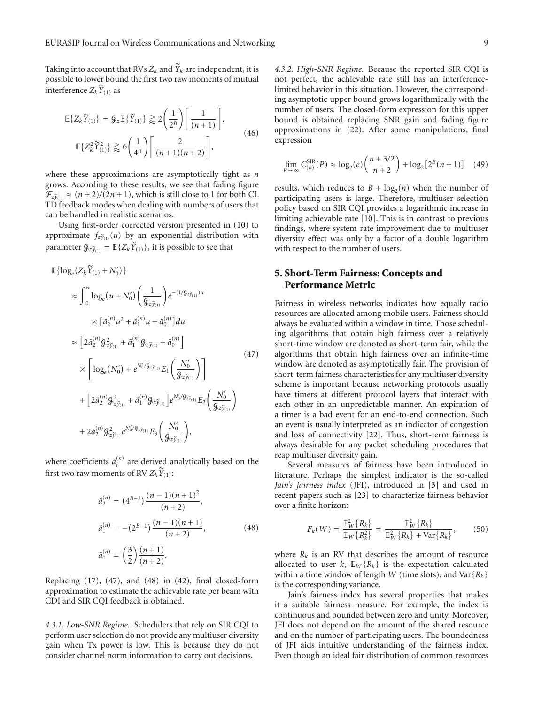Taking into account that RVs  $Z_k$  and  $\widetilde{Y}_k$  are independent, it is possible to lower bound the first two raw moments of mutual interference  $Z_k\widetilde{Y}_{(1)}$  as

$$
\mathbb{E}\left\{Z_k\widetilde{Y}_{(1)}\right\} = \mathcal{G}_z \mathbb{E}\left\{\widetilde{Y}_{(1)}\right\} \gtrapprox 2\left(\frac{1}{2^B}\right) \left[\frac{1}{(n+1)}\right],
$$
\n
$$
\mathbb{E}\left\{Z_k^2\widetilde{Y}_{(1)}^2\right\} \gtrapprox 6\left(\frac{1}{4^B}\right) \left[\frac{2}{(n+1)(n+2)}\right],
$$
\n(46)

where these approximations are asymptotically tight as *n* grows. According to these results, we see that fading figure  $\mathcal{F}_{z\tilde{\gamma}_{(1)}} \approx (n+2)/(2n+1)$ , which is still close to 1 for both CL TD feedback modes when dealing with numbers of users that can be handled in realistic scenarios.

Using first-order corrected version presented in (10) to approximate  $f_{z\tilde{y}_{(1)}}(u)$  by an exponential distribution with parameter  $\mathcal{G}_{z\tilde{\gamma}_{(1)}} = \mathbb{E}\{Z_k\tilde{Y}_{(1)}\}$ , it is possible to see that

$$
\mathbb{E}\{\log_e(Z_k\tilde{Y}_{(1)} + N'_0)\}\n\n\approx \int_0^\infty \log_e(u + N'_0) \left(\frac{1}{\mathcal{G}_z\tilde{y}_{(1)}}\right) e^{-(1/\mathcal{G}_z\tilde{y}_{(1)})u}\n\n\times [\check{a}_2^{(n)}u^2 + \check{a}_1^{(n)}u + \check{a}_0^{(n)}]du\n\n\approx \left[2\check{a}_2^{(n)}\mathcal{G}_{z\tilde{y}_{(1)}}^2 + \check{a}_1^{(n)}\mathcal{G}_z\tilde{y}_{(1)} + \check{a}_0^{(n)}\right]\n\n\times \left[\log_e(N'_0) + e^{N'_0/\mathcal{G}_z\tilde{y}_{(1)}} E_1\left(\frac{N'_0}{\mathcal{G}_z\tilde{y}_{(1)}}\right)\right]\n\n+\left[2\check{a}_2^{(n)}\mathcal{G}_{z\tilde{y}_{(1)}}^2 + \check{a}_1^{(n)}\mathcal{G}_z\tilde{y}_{(1)}\right]e^{N'_0/\mathcal{G}_z\tilde{y}_{(1)}} E_2\left(\frac{N'_0}{\mathcal{G}_z\tilde{y}_{(1)}}\right)\n\n+ 2\check{a}_2^{(n)}\mathcal{G}_{z\tilde{y}_{(1)}}^2e^{N'_0/\mathcal{G}_z\tilde{y}_{(1)}} E_3\left(\frac{N'_0}{\mathcal{G}_z\tilde{y}_{(1)}}\right),
$$
\n(47)

where coefficients  $\breve{a}_i^{(n)}$  are derived analytically based on the first two raw moments of RV  $Z_k \widetilde{Y}_{(1)}$ :

$$
\check{a}_2^{(n)} = (4^{B-2}) \frac{(n-1)(n+1)^2}{(n+2)},
$$
  
\n
$$
\check{a}_1^{(n)} = -(2^{B-1}) \frac{(n-1)(n+1)}{(n+2)},
$$
  
\n
$$
\check{a}_0^{(n)} = \left(\frac{3}{2}\right) \frac{(n+1)}{(n+2)}.
$$
\n(48)

Replacing (17), (47), and (48) in (42), final closed-form approximation to estimate the achievable rate per beam with CDI and SIR CQI feedback is obtained.

*4.3.1. Low-SNR Regime.* Schedulers that rely on SIR CQI to perform user selection do not provide any multiuser diversity gain when Tx power is low. This is because they do not consider channel norm information to carry out decisions.

*4.3.2. High-SNR Regime.* Because the reported SIR CQI is not perfect, the achievable rate still has an interferencelimited behavior in this situation. However, the corresponding asymptotic upper bound grows logarithmically with the number of users. The closed-form expression for this upper bound is obtained replacing SNR gain and fading figure approximations in (22). After some manipulations, final expression

$$
\lim_{P \to \infty} C_{(n)}^{\text{SIR}}(P) \approx \log_2(e) \left( \frac{n + 3/2}{n + 2} \right) + \log_2 \left[ 2^B(n + 1) \right] \tag{49}
$$

results, which reduces to  $B + \log_2(n)$  when the number of participating users is large. Therefore, multiuser selection policy based on SIR CQI provides a logarithmic increase in limiting achievable rate [10]. This is in contrast to previous findings, where system rate improvement due to multiuser diversity effect was only by a factor of a double logarithm with respect to the number of users.

## **5. Short-Term Fairness: Concepts and Performance Metric**

Fairness in wireless networks indicates how equally radio resources are allocated among mobile users. Fairness should always be evaluated within a window in time. Those scheduling algorithms that obtain high fairness over a relatively short-time window are denoted as short-term fair, while the algorithms that obtain high fairness over an infinite-time window are denoted as asymptotically fair. The provision of short-term fairness characteristics for any multiuser diversity scheme is important because networking protocols usually have timers at different protocol layers that interact with each other in an unpredictable manner. An expiration of a timer is a bad event for an end-to-end connection. Such an event is usually interpreted as an indicator of congestion and loss of connectivity [22]. Thus, short-term fairness is always desirable for any packet scheduling procedures that reap multiuser diversity gain.

Several measures of fairness have been introduced in literature. Perhaps the simplest indicator is the so-called *Jain's fairness index* (JFI), introduced in [3] and used in recent papers such as [23] to characterize fairness behavior over a finite horizon:

$$
F_k(W) = \frac{\mathbb{E}_W^2 \{R_k\}}{\mathbb{E}_W \{R_k^2\}} = \frac{\mathbb{E}_W^2 \{R_k\}}{\mathbb{E}_W^2 \{R_k\} + \text{Var}\{R_k\}},
$$
(50)

where  $R_k$  is an RV that describes the amount of resource allocated to user  $k$ ,  $E_W\{R_k\}$  is the expectation calculated within a time window of length *W* (time slots), and Var{*Rk*} is the corresponding variance.

Jain's fairness index has several properties that makes it a suitable fairness measure. For example, the index is continuous and bounded between zero and unity. Moreover, JFI does not depend on the amount of the shared resource and on the number of participating users. The boundedness of JFI aids intuitive understanding of the fairness index. Even though an ideal fair distribution of common resources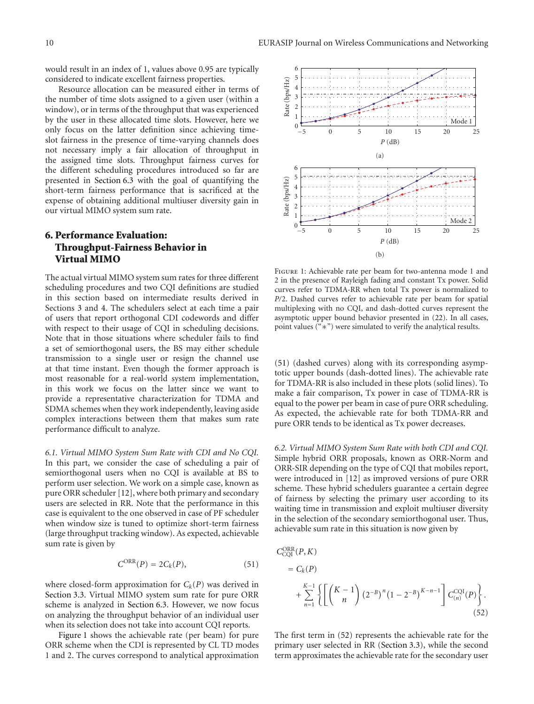would result in an index of 1, values above 0*.*95 are typically considered to indicate excellent fairness properties.

Resource allocation can be measured either in terms of the number of time slots assigned to a given user (within a window), or in terms of the throughput that was experienced by the user in these allocated time slots. However, here we only focus on the latter definition since achieving timeslot fairness in the presence of time-varying channels does not necessary imply a fair allocation of throughput in the assigned time slots. Throughput fairness curves for the different scheduling procedures introduced so far are presented in Section 6.3 with the goal of quantifying the short-term fairness performance that is sacrificed at the expense of obtaining additional multiuser diversity gain in our virtual MIMO system sum rate.

## **6. Performance Evaluation: Throughput-Fairness Behavior in Virtual MIMO**

The actual virtual MIMO system sum rates for three different scheduling procedures and two CQI definitions are studied in this section based on intermediate results derived in Sections 3 and 4. The schedulers select at each time a pair of users that report orthogonal CDI codewords and differ with respect to their usage of CQI in scheduling decisions. Note that in those situations where scheduler fails to find a set of semiorthogonal users, the BS may either schedule transmission to a single user or resign the channel use at that time instant. Even though the former approach is most reasonable for a real-world system implementation, in this work we focus on the latter since we want to provide a representative characterization for TDMA and SDMA schemes when they work independently, leaving aside complex interactions between them that makes sum rate performance difficult to analyze.

*6.1. Virtual MIMO System Sum Rate with CDI and No CQI.* In this part, we consider the case of scheduling a pair of semiorthogonal users when no CQI is available at BS to perform user selection. We work on a simple case, known as pure ORR scheduler [12], where both primary and secondary users are selected in RR. Note that the performance in this case is equivalent to the one observed in case of PF scheduler when window size is tuned to optimize short-term fairness (large throughput tracking window). As expected, achievable sum rate is given by

$$
C^{ORR}(P) = 2C_k(P), \qquad (51)
$$

where closed-form approximation for  $C_k(P)$  was derived in Section 3.3. Virtual MIMO system sum rate for pure ORR scheme is analyzed in Section 6.3. However, we now focus on analyzing the throughput behavior of an individual user when its selection does not take into account CQI reports.

Figure 1 shows the achievable rate (per beam) for pure ORR scheme when the CDI is represented by CL TD modes 1 and 2. The curves correspond to analytical approximation



Figure 1: Achievable rate per beam for two-antenna mode 1 and 2 in the presence of Rayleigh fading and constant Tx power. Solid curves refer to TDMA-RR when total Tx power is normalized to *P/*2. Dashed curves refer to achievable rate per beam for spatial multiplexing with no CQI, and dash-dotted curves represent the asymptotic upper bound behavior presented in (22). In all cases, point values ("∗") were simulated to verify the analytical results.

(51) (dashed curves) along with its corresponding asymptotic upper bounds (dash-dotted lines). The achievable rate for TDMA-RR is also included in these plots (solid lines). To make a fair comparison, Tx power in case of TDMA-RR is equal to the power per beam in case of pure ORR scheduling. As expected, the achievable rate for both TDMA-RR and pure ORR tends to be identical as Tx power decreases.

*6.2. Virtual MIMO System Sum Rate with both CDI and CQI.* Simple hybrid ORR proposals, known as ORR-Norm and ORR-SIR depending on the type of CQI that mobiles report, were introduced in [12] as improved versions of pure ORR scheme. These hybrid schedulers guarantee a certain degree of fairness by selecting the primary user according to its waiting time in transmission and exploit multiuser diversity in the selection of the secondary semiorthogonal user. Thus, achievable sum rate in this situation is now given by

$$
C_{\text{CQI}}^{\text{ORR}}(P,K)
$$
  
=  $C_k(P)$   
+  $\sum_{n=1}^{K-1} \left\{ \left[ \binom{K-1}{n} \left( 2^{-B} \right)^n \left( 1 - 2^{-B} \right)^{K-n-1} \right] C_{(n)}^{\text{CQI}}(P) \right\}.$  (52)

The first term in (52) represents the achievable rate for the primary user selected in RR (Section 3.3), while the second term approximates the achievable rate for the secondary user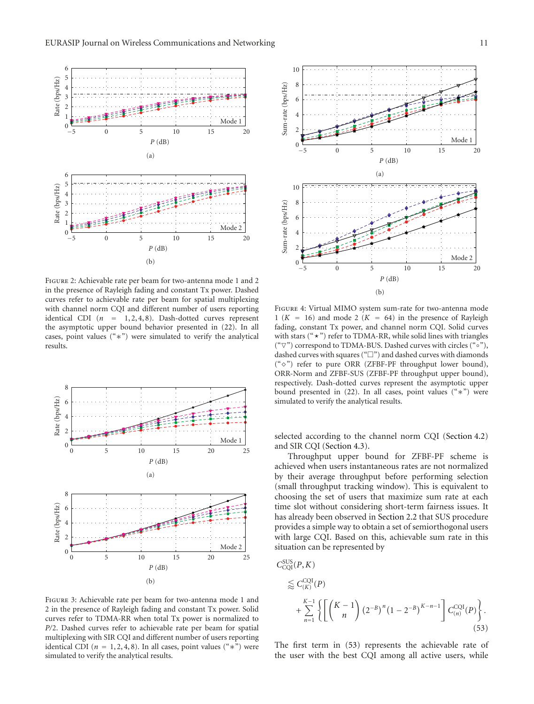

Figure 2: Achievable rate per beam for two-antenna mode 1 and 2 in the presence of Rayleigh fading and constant Tx power. Dashed curves refer to achievable rate per beam for spatial multiplexing with channel norm CQI and different number of users reporting identical CDI (*n* = 1, 2, 4, 8). Dash-dotted curves represent the asymptotic upper bound behavior presented in (22). In all cases, point values ("∗") were simulated to verify the analytical results.



Figure 3: Achievable rate per beam for two-antenna mode 1 and 2 in the presence of Rayleigh fading and constant Tx power. Solid curves refer to TDMA-RR when total Tx power is normalized to *P/*2. Dashed curves refer to achievable rate per beam for spatial multiplexing with SIR CQI and different number of users reporting identical CDI ( $n = 1, 2, 4, 8$ ). In all cases, point values (" $\ast$ ") were simulated to verify the analytical results.



Figure 4: Virtual MIMO system sum-rate for two-antenna mode 1 ( $K = 16$ ) and mode 2 ( $K = 64$ ) in the presence of Rayleigh fading, constant Tx power, and channel norm CQI. Solid curves with stars (" $\star$ ") refer to TDMA-RR, while solid lines with triangles ("∇") correspond to TDMA-BUS. Dashed curves with circles ("∘"), dashed curves with squares (" $\square$ ") and dashed curves with diamonds (" $\diamond$ ") refer to pure ORR (ZFBF-PF throughput lower bound), ORR-Norm and ZFBF-SUS (ZFBF-PF throughput upper bound), respectively. Dash-dotted curves represent the asymptotic upper bound presented in (22). In all cases, point values ("∗") were simulated to verify the analytical results.

selected according to the channel norm CQI (Section 4.2) and SIR CQI (Section 4.3).

Throughput upper bound for ZFBF-PF scheme is achieved when users instantaneous rates are not normalized by their average throughput before performing selection (small throughput tracking window). This is equivalent to choosing the set of users that maximize sum rate at each time slot without considering short-term fairness issues. It has already been observed in Section 2.2 that SUS procedure provides a simple way to obtain a set of semiorthogonal users with large CQI. Based on this, achievable sum rate in this situation can be represented by

$$
C_{\text{CQI}}^{\text{SUS}}(P, K)
$$
  
\n
$$
\lesssim C_{(K)}^{\text{CQI}}(P)
$$
  
\n
$$
+ \sum_{n=1}^{K-1} \left\{ \left[ \binom{K-1}{n} \left( 2^{-B} \right)^n \left( 1 - 2^{-B} \right)^{K-n-1} \right] C_{(n)}^{\text{CQI}}(P) \right\}.
$$
\n(53)

The first term in (53) represents the achievable rate of the user with the best CQI among all active users, while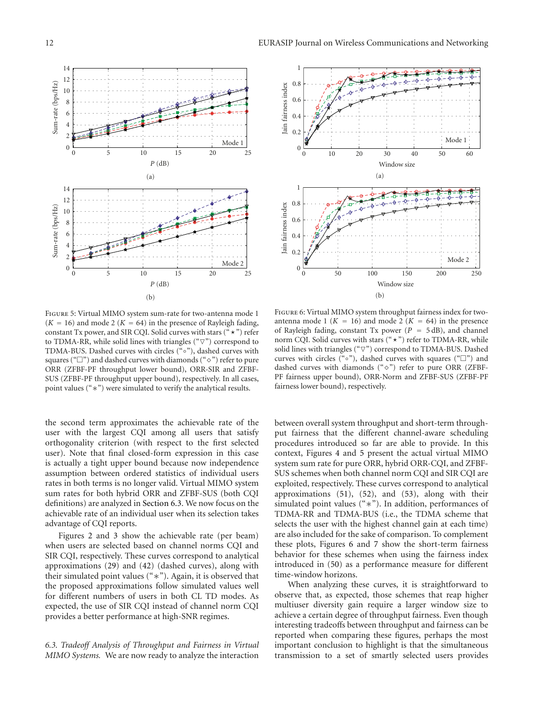



Figure 5: Virtual MIMO system sum-rate for two-antenna mode 1  $(K = 16)$  and mode 2  $(K = 64)$  in the presence of Rayleigh fading, constant Tx power, and SIR CQI. Solid curves with stars (" $\star$ ") refer to TDMA-RR, while solid lines with triangles ( $\degree$  $\triangledown$ ") correspond to TDMA-BUS. Dashed curves with circles ("∘"), dashed curves with squares (" $\square$ ") and dashed curves with diamonds (" $\diamond$ ") refer to pure ORR (ZFBF-PF throughput lower bound), ORR-SIR and ZFBF-SUS (ZFBF-PF throughput upper bound), respectively. In all cases, point values ("∗") were simulated to verify the analytical results.

the second term approximates the achievable rate of the user with the largest CQI among all users that satisfy orthogonality criterion (with respect to the first selected user). Note that final closed-form expression in this case is actually a tight upper bound because now independence assumption between ordered statistics of individual users rates in both terms is no longer valid. Virtual MIMO system sum rates for both hybrid ORR and ZFBF-SUS (both CQI definitions) are analyzed in Section 6.3. We now focus on the achievable rate of an individual user when its selection takes advantage of CQI reports.

Figures 2 and 3 show the achievable rate (per beam) when users are selected based on channel norms CQI and SIR CQI, respectively. These curves correspond to analytical approximations (29) and (42) (dashed curves), along with their simulated point values ("∗"). Again, it is observed that the proposed approximations follow simulated values well for different numbers of users in both CL TD modes. As expected, the use of SIR CQI instead of channel norm CQI provides a better performance at high-SNR regimes.

*6.3. Tradeoff Analysis of Throughput and Fairness in Virtual MIMO Systems.* We are now ready to analyze the interaction

Figure 6: Virtual MIMO system throughput fairness index for twoantenna mode 1 ( $K = 16$ ) and mode 2 ( $K = 64$ ) in the presence of Rayleigh fading, constant Tx power  $(P = 5 dB)$ , and channel norm CQI. Solid curves with stars  $($ "  $\star$ ") refer to TDMA-RR, while solid lines with triangles (" $\nabla$ ") correspond to TDMA-BUS. Dashed curves with circles ("∘"), dashed curves with squares (" $\square$ ") and dashed curves with diamonds (" $\diamond$ ") refer to pure ORR (ZFBF-PF fairness upper bound), ORR-Norm and ZFBF-SUS (ZFBF-PF fairness lower bound), respectively.

between overall system throughput and short-term throughput fairness that the different channel-aware scheduling procedures introduced so far are able to provide. In this context, Figures 4 and 5 present the actual virtual MIMO system sum rate for pure ORR, hybrid ORR-CQI, and ZFBF-SUS schemes when both channel norm CQI and SIR CQI are exploited, respectively. These curves correspond to analytical approximations (51), (52), and (53), along with their simulated point values ("∗"). In addition, performances of TDMA-RR and TDMA-BUS (i.e., the TDMA scheme that selects the user with the highest channel gain at each time) are also included for the sake of comparison. To complement these plots, Figures 6 and 7 show the short-term fairness behavior for these schemes when using the fairness index introduced in (50) as a performance measure for different time-window horizons.

When analyzing these curves, it is straightforward to observe that, as expected, those schemes that reap higher multiuser diversity gain require a larger window size to achieve a certain degree of throughput fairness. Even though interesting tradeoffs between throughput and fairness can be reported when comparing these figures, perhaps the most important conclusion to highlight is that the simultaneous transmission to a set of smartly selected users provides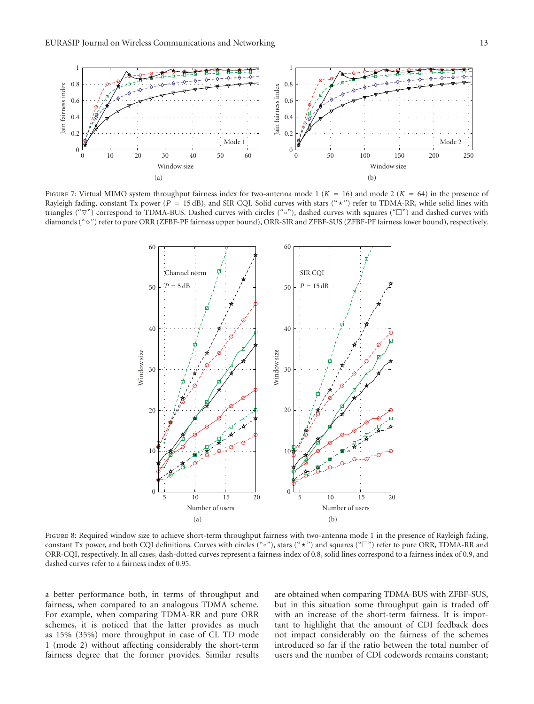

Figure 7: Virtual MIMO system throughput fairness index for two-antenna mode 1 (*K* = 16) and mode 2 (*K* = 64) in the presence of Rayleigh fading, constant Tx power ( $P = 15$  dB), and SIR CQI. Solid curves with stars (" $\star$ ") refer to TDMA-RR, while solid lines with triangles (" $\nabla$ ") correspond to TDMA-BUS. Dashed curves with circles ("∘"), dashed curves with squares ("□") and dashed curves with diamonds (" $\diamond$ ") refer to pure ORR (ZFBF-PF fairness upper bound), ORR-SIR and ZFBF-SUS (ZFBF-PF fairness lower bound), respectively.



Figure 8: Required window size to achieve short-term throughput fairness with two-antenna mode 1 in the presence of Rayleigh fading, constant Tx power, and both CQI definitions. Curves with circles ("∘"), stars ("★") and squares ("□") refer to pure ORR, TDMA-RR and ORR-CQI, respectively. In all cases, dash-dotted curves represent a fairness index of 0*.*8, solid lines correspond to a fairness index of 0*.*9, and dashed curves refer to a fairness index of 0*.*95.

a better performance both, in terms of throughput and fairness, when compared to an analogous TDMA scheme. For example, when comparing TDMA-RR and pure ORR schemes, it is noticed that the latter provides as much as 15% (35%) more throughput in case of CL TD mode 1 (mode 2) without affecting considerably the short-term fairness degree that the former provides. Similar results

are obtained when comparing TDMA-BUS with ZFBF-SUS, but in this situation some throughput gain is traded off with an increase of the short-term fairness. It is important to highlight that the amount of CDI feedback does not impact considerably on the fairness of the schemes introduced so far if the ratio between the total number of users and the number of CDI codewords remains constant;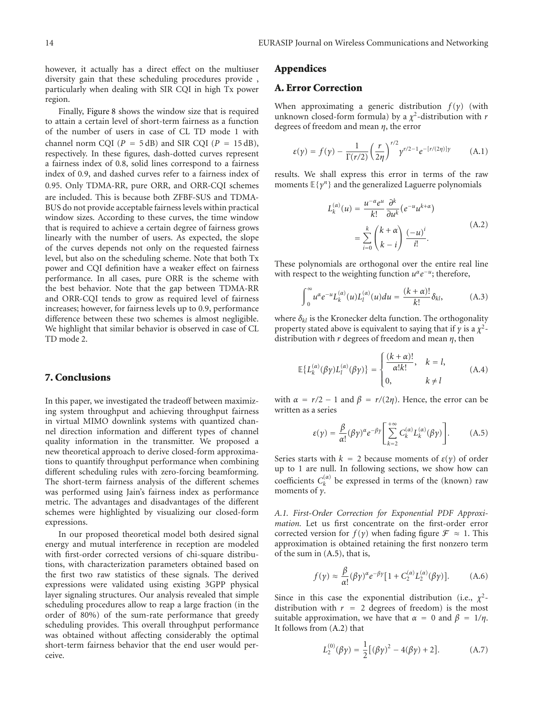however, it actually has a direct effect on the multiuser diversity gain that these scheduling procedures provide , particularly when dealing with SIR CQI in high Tx power region.

Finally, Figure 8 shows the window size that is required to attain a certain level of short-term fairness as a function of the number of users in case of CL TD mode 1 with channel norm CQI ( $P = 5$  dB) and SIR CQI ( $P = 15$  dB), respectively. In these figures, dash-dotted curves represent a fairness index of 0*.*8, solid lines correspond to a fairness index of 0*.*9, and dashed curves refer to a fairness index of 0*.*95. Only TDMA-RR, pure ORR, and ORR-CQI schemes are included. This is because both ZFBF-SUS and TDMA-BUS do not provide acceptable fairness levels within practical window sizes. According to these curves, the time window that is required to achieve a certain degree of fairness grows linearly with the number of users. As expected, the slope of the curves depends not only on the requested fairness level, but also on the scheduling scheme. Note that both Tx power and CQI definition have a weaker effect on fairness performance. In all cases, pure ORR is the scheme with the best behavior. Note that the gap between TDMA-RR and ORR-CQI tends to grow as required level of fairness increases; however, for fairness levels up to 0*.*9, performance difference between these two schemes is almost negligible. We highlight that similar behavior is observed in case of CL TD mode 2.

## **7. Conclusions**

In this paper, we investigated the tradeoff between maximizing system throughput and achieving throughput fairness in virtual MIMO downlink systems with quantized channel direction information and different types of channel quality information in the transmitter. We proposed a new theoretical approach to derive closed-form approximations to quantify throughput performance when combining different scheduling rules with zero-forcing beamforming. The short-term fairness analysis of the different schemes was performed using Jain's fairness index as performance metric. The advantages and disadvantages of the different schemes were highlighted by visualizing our closed-form expressions.

In our proposed theoretical model both desired signal energy and mutual interference in reception are modeled with first-order corrected versions of chi-square distributions, with characterization parameters obtained based on the first two raw statistics of these signals. The derived expressions were validated using existing 3GPP physical layer signaling structures. Our analysis revealed that simple scheduling procedures allow to reap a large fraction (in the order of 80%) of the sum-rate performance that greedy scheduling provides. This overall throughput performance was obtained without affecting considerably the optimal short-term fairness behavior that the end user would perceive.

#### **Appendices**

## **A. Error Correction**

When approximating a generic distribution *f* (*γ*) (with unknown closed-form formula) by a *χ*2-distribution with *r* degrees of freedom and mean *η*, the error

$$
\varepsilon(\gamma) = f(\gamma) - \frac{1}{\Gamma(r/2)} \left(\frac{r}{2\eta}\right)^{r/2} \gamma^{r/2 - 1} e^{-\left[r/(2\eta)\right]\gamma} \tag{A.1}
$$

results. We shall express this error in terms of the raw moments <sup>E</sup>{*γn*} and the generalized Laguerre polynomials

$$
L_k^{(\alpha)}(u) = \frac{u^{-\alpha}e^u}{k!} \frac{\partial^k}{\partial u^k} (e^{-u}u^{k+\alpha})
$$
  
= 
$$
\sum_{i=0}^k {k+\alpha \choose k-i} \frac{(-u)^i}{i!}.
$$
 (A.2)

These polynomials are orthogonal over the entire real line with respect to the weighting function *u<sup>α</sup>e<sup>−<i>u*</sup>; therefore,</sup>

$$
\int_0^\infty u^\alpha e^{-u} L_k^{(\alpha)}(u) L_l^{(\alpha)}(u) du = \frac{(k+\alpha)!}{k!} \delta_{kl}, \tag{A.3}
$$

where  $\delta_{kl}$  is the Kronecker delta function. The orthogonality property stated above is equivalent to saying that if  $\gamma$  is a  $\chi^2$ distribution with *r* degrees of freedom and mean *η*, then

$$
\mathbb{E}\left\{L_k^{(\alpha)}(\beta \gamma)L_l^{(\alpha)}(\beta \gamma)\right\} = \begin{cases} \frac{(k+\alpha)!}{\alpha!k!}, & k = l, \\ 0, & k \neq l \end{cases}
$$
(A.4)

with  $\alpha = r/2 - 1$  and  $\beta = r/(2\eta)$ . Hence, the error can be written as a series

$$
\varepsilon(\gamma) = \frac{\beta}{\alpha!} (\beta \gamma)^{\alpha} e^{-\beta \gamma} \left[ \sum_{k=2}^{+\infty} C_k^{(\alpha)} L_k^{(\alpha)}(\beta \gamma) \right].
$$
 (A.5)

Series starts with  $k = 2$  because moments of  $\varepsilon(\gamma)$  of order up to 1 are null. In following sections, we show how can coefficients  $C_k^{(\alpha)}$  be expressed in terms of the (known) raw moments of *γ*.

*A.1. First-Order Correction for Exponential PDF Approximation.* Let us first concentrate on the first-order error corrected version for *f* (*γ*) when fading figure  $\mathcal{F} \approx 1$ . This approximation is obtained retaining the first nonzero term of the sum in (A.5), that is,

$$
f(\gamma) \approx \frac{\beta}{\alpha!} (\beta \gamma)^{\alpha} e^{-\beta \gamma} [1 + C_2^{(\alpha)} L_2^{(\alpha)}(\beta \gamma)]. \tag{A.6}
$$

Since in this case the exponential distribution (i.e.,  $\chi^2$ distribution with  $r = 2$  degrees of freedom) is the most suitable approximation, we have that  $\alpha = 0$  and  $\beta = 1/\eta$ . It follows from (A.2) that

$$
L_2^{(0)}(\beta \gamma) = \frac{1}{2} [(\beta \gamma)^2 - 4(\beta \gamma) + 2].
$$
 (A.7)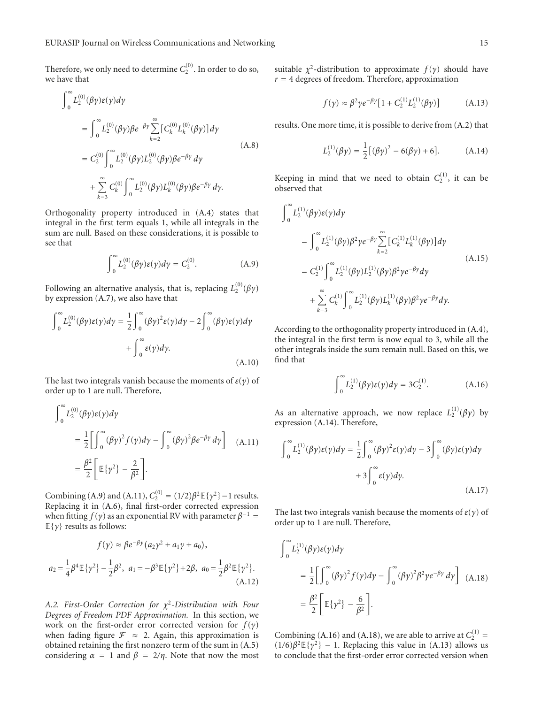Therefore, we only need to determine  $C_2^{(0)}$ . In order to do so, we have that

$$
\int_{0}^{\infty} L_{2}^{(0)}(\beta y)\varepsilon(y)dy
$$
\n
$$
= \int_{0}^{\infty} L_{2}^{(0)}(\beta y)\beta e^{-\beta y} \sum_{k=2}^{\infty} [C_{k}^{(0)} L_{k}^{(0)}(\beta y)]dy
$$
\n
$$
= C_{2}^{(0)} \int_{0}^{\infty} L_{2}^{(0)}(\beta y)L_{2}^{(0)}(\beta y)\beta e^{-\beta y} dy
$$
\n
$$
+ \sum_{k=3}^{\infty} C_{k}^{(0)} \int_{0}^{\infty} L_{2}^{(0)}(\beta y)L_{k}^{(0)}(\beta y)\beta e^{-\beta y} dy.
$$
\n(A.8)

Orthogonality property introduced in (A.4) states that integral in the first term equals 1, while all integrals in the sum are null. Based on these considerations, it is possible to see that

$$
\int_{0}^{\infty} L_{2}^{(0)}(\beta \gamma) \varepsilon(\gamma) d\gamma = C_{2}^{(0)}.
$$
 (A.9)

Following an alternative analysis, that is, replacing  $L_2^{(0)}(\beta \gamma)$ by expression (A.7), we also have that

$$
\int_0^\infty L_2^{(0)}(\beta \gamma) \varepsilon(\gamma) d\gamma = \frac{1}{2} \int_0^\infty (\beta \gamma)^2 \varepsilon(\gamma) d\gamma - 2 \int_0^\infty (\beta \gamma) \varepsilon(\gamma) d\gamma
$$

$$
+ \int_0^\infty \varepsilon(\gamma) d\gamma.
$$
(A.10)

The last two integrals vanish because the moments of  $\varepsilon(\gamma)$  of order up to 1 are null. Therefore,

$$
\int_0^\infty L_2^{(0)}(\beta \gamma) \varepsilon(\gamma) d\gamma
$$
  
=  $\frac{1}{2} \Biggl[ \int_0^\infty (\beta \gamma)^2 f(\gamma) d\gamma - \int_0^\infty (\beta \gamma)^2 \beta e^{-\beta \gamma} d\gamma \Biggr]$  (A.11)  
=  $\frac{\beta^2}{2} \Biggl[ \mathbb{E} {\gamma^2} - \frac{2}{\beta^2} \Biggr].$ 

Combining (A.9) and (A.11),  $C_2^{(0)} = (1/2)\beta^2 \mathbb{E}{\{\gamma^2\}} - 1$  results. Replacing it in (A.6), final first-order corrected expression when fitting  $f(y)$  as an exponential RV with parameter  $\beta^{-1}$  =  $E\{\gamma\}$  results as follows:

$$
f(\gamma) \approx \beta e^{-\beta \gamma} (a_2 \gamma^2 + a_1 \gamma + a_0),
$$
  

$$
a_2 = \frac{1}{4} \beta^4 \mathbb{E} {\gamma^2} - \frac{1}{2} \beta^2, \ \ a_1 = -\beta^3 \mathbb{E} {\gamma^2} + 2\beta, \ \ a_0 = \frac{1}{2} \beta^2 \mathbb{E} {\gamma^2}.
$$
  
(A.12)

*A.2. First-Order Correction for χ*<sup>2</sup>*-Distribution with Four Degrees of Freedom PDF Approximation.* In this section, we work on the first-order error corrected version for *f* (*γ*) when fading figure  $\mathcal{F} \approx 2$ . Again, this approximation is obtained retaining the first nonzero term of the sum in (A.5) considering  $\alpha = 1$  and  $\beta = 2/\eta$ . Note that now the most

suitable  $\chi^2$ -distribution to approximate  $f(\gamma)$  should have  $r = 4$  degrees of freedom. Therefore, approximation

$$
f(\gamma) \approx \beta^2 \gamma e^{-\beta \gamma} [1 + C_2^{(1)} L_2^{(1)}(\beta \gamma)] \tag{A.13}
$$

results. One more time, it is possible to derive from (A.2) that

$$
L_2^{(1)}(\beta \gamma) = \frac{1}{2} [(\beta \gamma)^2 - 6(\beta \gamma) + 6].
$$
 (A.14)

Keeping in mind that we need to obtain  $C_2^{(1)}$ , it can be observed that

$$
\int_{0}^{\infty} L_{2}^{(1)}(\beta \gamma) \varepsilon(\gamma) d\gamma
$$
\n
$$
= \int_{0}^{\infty} L_{2}^{(1)}(\beta \gamma) \beta^{2} \gamma e^{-\beta \gamma} \sum_{k=2}^{\infty} [C_{k}^{(1)} L_{k}^{(1)}(\beta \gamma)] d\gamma
$$
\n
$$
= C_{2}^{(1)} \int_{0}^{\infty} L_{2}^{(1)}(\beta \gamma) L_{2}^{(1)}(\beta \gamma) \beta^{2} \gamma e^{-\beta \gamma} d\gamma
$$
\n
$$
+ \sum_{k=3}^{\infty} C_{k}^{(1)} \int_{0}^{\infty} L_{2}^{(1)}(\beta \gamma) L_{k}^{(1)}(\beta \gamma) \beta^{2} \gamma e^{-\beta \gamma} d\gamma.
$$
\n(A.15)

According to the orthogonality property introduced in (A.4), the integral in the first term is now equal to 3, while all the other integrals inside the sum remain null. Based on this, we find that

$$
\int_{0}^{\infty} L_{2}^{(1)}(\beta \gamma) \varepsilon(\gamma) d\gamma = 3C_{2}^{(1)}.
$$
 (A.16)

As an alternative approach, we now replace  $L_2^{(1)}(\beta \gamma)$  by expression (A.14). Therefore,

$$
\int_0^\infty L_2^{(1)}(\beta \gamma) \varepsilon(\gamma) d\gamma = \frac{1}{2} \int_0^\infty (\beta \gamma)^2 \varepsilon(\gamma) d\gamma - 3 \int_0^\infty (\beta \gamma) \varepsilon(\gamma) d\gamma
$$

$$
+ 3 \int_0^\infty \varepsilon(\gamma) d\gamma.
$$
(A.17)

The last two integrals vanish because the moments of  $\varepsilon(\gamma)$  of order up to 1 are null. Therefore,

$$
\int_0^\infty L_2^{(1)}(\beta \gamma) \varepsilon(\gamma) d\gamma
$$
  
=  $\frac{1}{2} \Biggl[ \int_0^\infty (\beta \gamma)^2 f(\gamma) d\gamma - \int_0^\infty (\beta \gamma)^2 \beta^2 \gamma e^{-\beta \gamma} d\gamma \Biggr]$  (A.18)  
=  $\frac{\beta^2}{2} \Biggl[ \mathbb{E} {\gamma^2} - \frac{6}{\beta^2} \Biggr].$ 

Combining (A.16) and (A.18), we are able to arrive at  $C_2^{(1)}$  =  $(1/6)\beta^2 \mathbb{E}{\lbrace \gamma^2 \rbrace} - 1$ . Replacing this value in (A.13) allows us to conclude that the first-order error corrected version when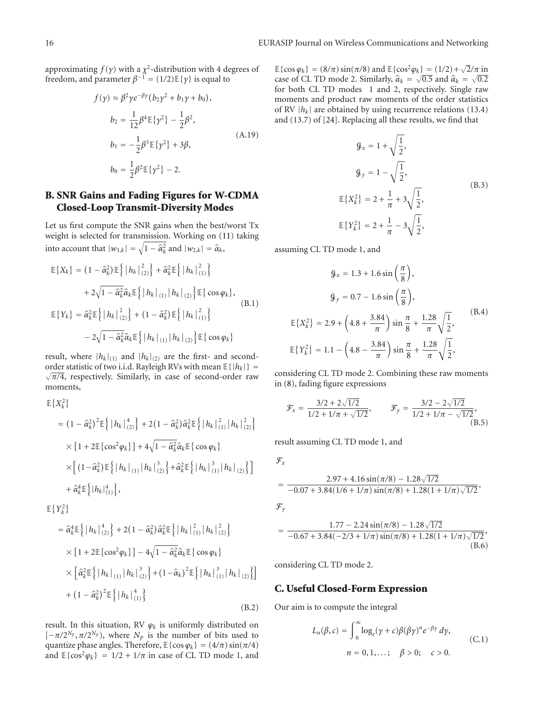approximating  $f(\gamma)$  with a  $\chi^2$ -distribution with 4 degrees of freedom, and parameter  $\beta^{-1} = (1/2) \mathbb{E}{\lbrace \gamma \rbrace}$  is equal to

$$
f(\gamma) \approx \beta^2 \gamma e^{-\beta \gamma} (b_2 \gamma^2 + b_1 \gamma + b_0),
$$
  
\n
$$
b_2 = \frac{1}{12} \beta^4 \mathbb{E} {\gamma^2} - \frac{1}{2} \beta^2,
$$
  
\n
$$
b_1 = -\frac{1}{2} \beta^3 \mathbb{E} {\gamma^2} + 3\beta,
$$
  
\n
$$
b_0 = \frac{1}{2} \beta^2 \mathbb{E} {\gamma^2} - 2.
$$
  
\n(A.19)

## **B. SNR Gains and Fading Figures for W-CDMA Closed-Loop Transmit-Diversity Modes**

Let us first compute the SNR gains when the best/worst Tx weight is selected for transmission. Working on (11) taking into account that  $|w_{1,k}| = \sqrt{1 - \hat{\alpha}_k^2}$  and  $|w_{2,k}| = \hat{\alpha}_k$ ,

$$
\mathbb{E}\{X_k\} = (1 - \hat{\alpha}_k^2) \mathbb{E}\left\{ |h_k|_{(2)}^2 \right\} + \hat{\alpha}_k^2 \mathbb{E}\left\{ |h_k|_{(1)}^2 \right\} \n+ 2\sqrt{1 - \hat{\alpha}_k^2} \hat{\alpha}_k \mathbb{E}\left\{ |h_k|_{(1)} |h_k|_{(2)} \right\} \mathbb{E}\left\{ \cos \varphi_k \right\}, \n\mathbb{E}\{Y_k\} = \hat{\alpha}_k^2 \mathbb{E}\left\{ |h_k|_{(2)}^2 \right\} + (1 - \hat{\alpha}_k^2) \mathbb{E}\left\{ |h_k|_{(1)}^2 \right\} \n- 2\sqrt{1 - \hat{\alpha}_k^2} \hat{\alpha}_k \mathbb{E}\left\{ |h_k|_{(1)} |h_k|_{(2)} \right\} \mathbb{E}\left\{ \cos \varphi_k \right\}
$$
\n(B.1)

result, where  $|h_k|_{(1)}$  and  $|h_k|_{(2)}$  are the first- and secondorder statistic of two i.i.d. Rayleigh RVs with mean  $\mathbb{E}\{|h_k|\} =$ √ *π/*4, respectively. Similarly, in case of second-order raw moments,

$$
\mathbb{E}\left\{X_{k}^{2}\right\}
$$
\n
$$
= (1 - \hat{\alpha}_{k}^{2})^{2}\mathbb{E}\left\{\left|h_{k}\right|_{(2)}^{4}\right\} + 2(1 - \hat{\alpha}_{k}^{2})\hat{\alpha}_{k}^{2}\mathbb{E}\left\{\left|h_{k}\right|_{(1)}^{2}\right|h_{k}\right|_{(2)}^{2}\right\}
$$
\n
$$
\times \left[1 + 2\mathbb{E}\left\{\cos^{2}\varphi_{k}\right\}\right] + 4\sqrt{1 - \hat{\alpha}_{k}^{2}}\hat{\alpha}_{k}\mathbb{E}\left\{\cos\varphi_{k}\right\}
$$
\n
$$
\times \left[\left(1 - \hat{\alpha}_{k}^{2}\right)\mathbb{E}\left\{\left|h_{k}\right|_{(1)}\right|h_{k}\right|_{(2)}^{3}\right\} + \hat{\alpha}_{k}^{2}\mathbb{E}\left\{\left|h_{k}\right|_{(1)}^{3}\right|h_{k}\right|_{(2)}\left\}\right]
$$
\n
$$
+ \hat{\alpha}_{k}^{4}\mathbb{E}\left\{\left|h_{k}\right|_{(1)}^{4}\right\},
$$

 $\mathbb{E}\left\{Y_k^2\right\}$ 

$$
= \hat{\alpha}_{k}^{4} \mathbb{E} \left\{ \left| h_{k} \right|_{(2)}^{4} \right\} + 2 \left( 1 - \hat{\alpha}_{k}^{2} \right) \hat{\alpha}_{k}^{2} \mathbb{E} \left\{ \left| h_{k} \right|_{(1)}^{2} \left| h_{k} \right|_{(2)}^{2} \right\} \times \left[ 1 + 2 \mathbb{E} \left\{ \cos^{2} \varphi_{k} \right\} \right] - 4 \sqrt{1 - \hat{\alpha}_{k}^{2}} \hat{\alpha}_{k} \mathbb{E} \left\{ \cos \varphi_{k} \right\} \times \left[ \hat{\alpha}_{k}^{2} \mathbb{E} \left\{ \left| h_{k} \right|_{(1)} \left| h_{k} \right|_{(2)}^{3} \right\} + \left( 1 - \hat{\alpha}_{k} \right)^{2} \mathbb{E} \left\{ \left| h_{k} \right|_{(1)}^{3} \left| h_{k} \right|_{(2)} \right\} \right] + \left( 1 - \hat{\alpha}_{k}^{2} \right)^{2} \mathbb{E} \left\{ \left| h_{k} \right|_{(1)}^{4} \right\}
$$
\n(B.2)

result. In this situation, RV  $\varphi_k$  is uniformly distributed on  $[-\pi/2^{N_p}, \pi/2^{N_p})$ , where  $N_p$  is the number of bits used to quantize phase angles. Therefore,  $\mathbb{E}\{\cos \varphi_k\} = (4/\pi) \sin(\pi/4)$ and  $\mathbb{E}\{\cos^2{\varphi_k}\} = 1/2 + 1/\pi$  in case of CL TD mode 1, and

 $E\{\cos \varphi_k\} = (8/\pi) \sin(\pi/8)$  and  $E\{\cos^2 \varphi_k\} = (1/2) + \sqrt{2}/\pi$  in case of CL TD mode 2. Similarly,  $\hat{\alpha}_k = \sqrt{0.5}$  and  $\hat{\alpha}_k = \sqrt{0.2}$ <br>for both CL TD modes 1 and 2, respectively. Sincle ray for both CL TD modes 1 and 2, respectively. Single raw moments and product raw moments of the order statistics of RV  $|h_k|$  are obtained by using recurrence relations (13.4) and (13.7) of [24]. Replacing all these results, we find that

$$
\mathcal{G}_x = 1 + \sqrt{\frac{1}{2}},
$$
  
\n
$$
\mathcal{G}_y = 1 - \sqrt{\frac{1}{2}},
$$
  
\n
$$
\mathbb{E}\{X_k^2\} = 2 + \frac{1}{\pi} + 3\sqrt{\frac{1}{2}},
$$
  
\n
$$
\mathbb{E}\{Y_k^2\} = 2 + \frac{1}{\pi} - 3\sqrt{\frac{1}{2}},
$$
\n(B.3)

assuming CL TD mode 1, and

$$
\mathcal{G}_x = 1.3 + 1.6 \sin\left(\frac{\pi}{8}\right),
$$
  

$$
\mathcal{G}_y = 0.7 - 1.6 \sin\left(\frac{\pi}{8}\right),
$$
  

$$
\mathbb{E}\{X_k^2\} = 2.9 + \left(4.8 + \frac{3.84}{\pi}\right) \sin\frac{\pi}{8} + \frac{1.28}{\pi} \sqrt{\frac{1}{2}},
$$
  

$$
\mathbb{E}\{Y_k^2\} = 1.1 - \left(4.8 - \frac{3.84}{\pi}\right) \sin\frac{\pi}{8} + \frac{1.28}{\pi} \sqrt{\frac{1}{2}},
$$
 (B.4)

considering CL TD mode 2. Combining these raw moments in (8), fading figure expressions

$$
\mathcal{F}_x = \frac{3/2 + 2\sqrt{1/2}}{1/2 + 1/\pi + \sqrt{1/2}}, \qquad \mathcal{F}_y = \frac{3/2 - 2\sqrt{1/2}}{1/2 + 1/\pi - \sqrt{1/2}},
$$
\n(B.5)

result assuming CL TD mode 1, and

$$
\mathcal{F}_x
$$

$$
= \frac{2.97 + 4.16 \sin(\pi/8) - 1.28\sqrt{1/2}}{-0.07 + 3.84(1/6 + 1/\pi) \sin(\pi/8) + 1.28(1 + 1/\pi)\sqrt{1/2}}
$$
  

$$
\mathcal{F}_y
$$

$$
= \frac{1.77 - 2.24 \sin(\pi/8) - 1.28\sqrt{1/2}}{-0.67 + 3.84(-2/3 + 1/\pi) \sin(\pi/8) + 1.28(1 + 1/\pi)\sqrt{1/2}},
$$
\n(B.6)

considering CL TD mode 2.

## **C. Useful Closed-Form Expression**

Our aim is to compute the integral

$$
L_n(\beta, c) = \int_0^\infty \log_e(y + c) \beta(\beta \gamma)^n e^{-\beta \gamma} dy,
$$
  
\n
$$
n = 0, 1, \dots; \quad \beta > 0; \quad c > 0.
$$
 (C.1)